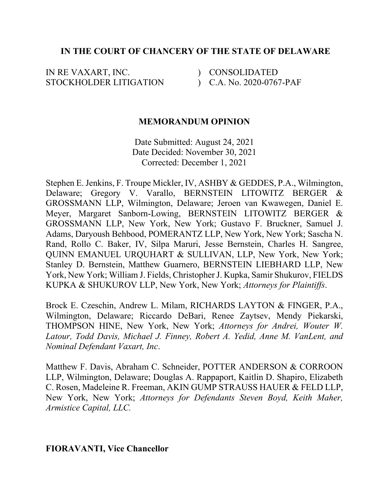## **IN THE COURT OF CHANCERY OF THE STATE OF DELAWARE**

IN RE VAXART, INC. STOCKHOLDER LITIGATION ) CONSOLIDATED ) C.A. No. 2020-0767-PAF

## **MEMORANDUM OPINION**

Date Submitted: August 24, 2021 Date Decided: November 30, 2021 Corrected: December 1, 2021

Stephen E. Jenkins, F. Troupe Mickler, IV, ASHBY & GEDDES, P.A., Wilmington, Delaware; Gregory V. Varallo, BERNSTEIN LITOWITZ BERGER & GROSSMANN LLP, Wilmington, Delaware; Jeroen van Kwawegen, Daniel E. Meyer, Margaret Sanborn-Lowing, BERNSTEIN LITOWITZ BERGER & GROSSMANN LLP, New York, New York; Gustavo F. Bruckner, Samuel J. Adams, Daryoush Behbood, POMERANTZ LLP, New York, New York; Sascha N. Rand, Rollo C. Baker, IV, Silpa Maruri, Jesse Bernstein, Charles H. Sangree, QUINN EMANUEL URQUHART & SULLIVAN, LLP, New York, New York; Stanley D. Bernstein, Matthew Guarnero, BERNSTEIN LIEBHARD LLP, New York, New York; William J. Fields, Christopher J. Kupka, Samir Shukurov, FIELDS KUPKA & SHUKUROV LLP, New York, New York; *Attorneys for Plaintiffs*.

Brock E. Czeschin, Andrew L. Milam, RICHARDS LAYTON & FINGER, P.A., Wilmington, Delaware; Riccardo DeBari, Renee Zaytsev, Mendy Piekarski, THOMPSON HINE, New York, New York; *Attorneys for Andrei, Wouter W. Latour, Todd Davis, Michael J. Finney, Robert A. Yedid, Anne M. VanLent, and Nominal Defendant Vaxart, Inc*.

Matthew F. Davis, Abraham C. Schneider, POTTER ANDERSON & CORROON LLP, Wilmington, Delaware; Douglas A. Rappaport, Kaitlin D. Shapiro, Elizabeth C. Rosen, Madeleine R. Freeman, AKIN GUMP STRAUSS HAUER & FELD LLP, New York, New York; *Attorneys for Defendants Steven Boyd, Keith Maher, Armistice Capital, LLC.* 

**FIORAVANTI, Vice Chancellor**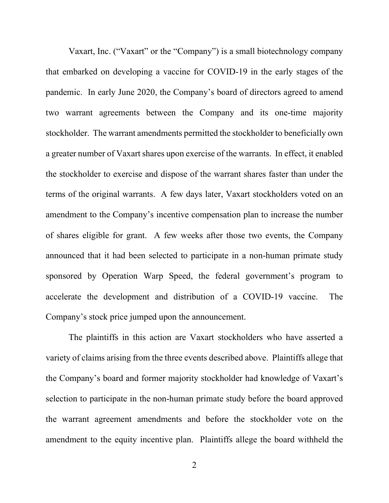Vaxart, Inc. ("Vaxart" or the "Company") is a small biotechnology company that embarked on developing a vaccine for COVID-19 in the early stages of the pandemic. In early June 2020, the Company's board of directors agreed to amend two warrant agreements between the Company and its one-time majority stockholder. The warrant amendments permitted the stockholder to beneficially own a greater number of Vaxart shares upon exercise of the warrants. In effect, it enabled the stockholder to exercise and dispose of the warrant shares faster than under the terms of the original warrants. A few days later, Vaxart stockholders voted on an amendment to the Company's incentive compensation plan to increase the number of shares eligible for grant. A few weeks after those two events, the Company announced that it had been selected to participate in a non-human primate study sponsored by Operation Warp Speed, the federal government's program to accelerate the development and distribution of a COVID-19 vaccine. The Company's stock price jumped upon the announcement.

The plaintiffs in this action are Vaxart stockholders who have asserted a variety of claims arising from the three events described above. Plaintiffs allege that the Company's board and former majority stockholder had knowledge of Vaxart's selection to participate in the non-human primate study before the board approved the warrant agreement amendments and before the stockholder vote on the amendment to the equity incentive plan. Plaintiffs allege the board withheld the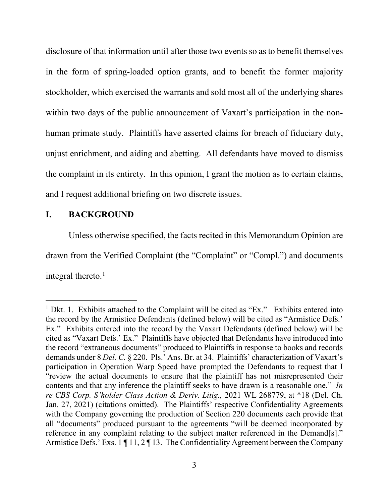disclosure of that information until after those two events so as to benefit themselves in the form of spring-loaded option grants, and to benefit the former majority stockholder, which exercised the warrants and sold most all of the underlying shares within two days of the public announcement of Vaxart's participation in the nonhuman primate study. Plaintiffs have asserted claims for breach of fiduciary duty, unjust enrichment, and aiding and abetting. All defendants have moved to dismiss the complaint in its entirety. In this opinion, I grant the motion as to certain claims, and I request additional briefing on two discrete issues.

# **I. BACKGROUND**

Unless otherwise specified, the facts recited in this Memorandum Opinion are drawn from the Verified Complaint (the "Complaint" or "Compl.") and documents integral thereto. $1$ 

<sup>&</sup>lt;sup>1</sup> Dkt. 1. Exhibits attached to the Complaint will be cited as "Ex." Exhibits entered into the record by the Armistice Defendants (defined below) will be cited as "Armistice Defs.' Ex." Exhibits entered into the record by the Vaxart Defendants (defined below) will be cited as "Vaxart Defs.' Ex." Plaintiffs have objected that Defendants have introduced into the record "extraneous documents" produced to Plaintiffs in response to books and records demands under 8 *Del. C.* § 220. Pls.' Ans. Br. at 34. Plaintiffs' characterization of Vaxart's participation in Operation Warp Speed have prompted the Defendants to request that I "review the actual documents to ensure that the plaintiff has not misrepresented their contents and that any inference the plaintiff seeks to have drawn is a reasonable one." *In re CBS Corp. S'holder Class Action & Deriv. Litig.,* 2021 WL 268779, at \*18 (Del. Ch. Jan. 27, 2021) (citations omitted). The Plaintiffs' respective Confidentiality Agreements with the Company governing the production of Section 220 documents each provide that all "documents" produced pursuant to the agreements "will be deemed incorporated by reference in any complaint relating to the subject matter referenced in the Demand[s]." Armistice Defs.' Exs. 1 | 11, 2 | 13. The Confidentiality Agreement between the Company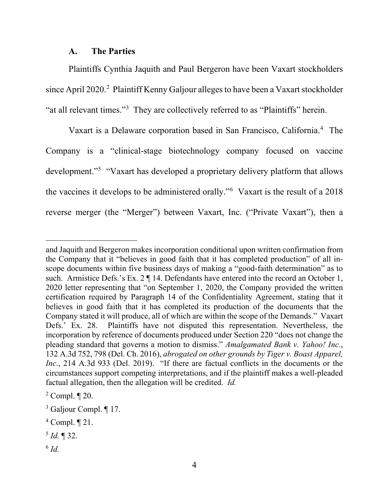#### **A. The Parties**

Plaintiffs Cynthia Jaquith and Paul Bergeron have been Vaxart stockholders since April 2020.<sup>2</sup> Plaintiff Kenny Galjour alleges to have been a Vaxart stockholder "at all relevant times."<sup>3</sup> They are collectively referred to as "Plaintiffs" herein.

Vaxart is a Delaware corporation based in San Francisco, California.4 The Company is a "clinical-stage biotechnology company focused on vaccine development."5 "Vaxart has developed a proprietary delivery platform that allows the vaccines it develops to be administered orally."6 Vaxart is the result of a 2018 reverse merger (the "Merger") between Vaxart, Inc. ("Private Vaxart"), then a

<sup>6</sup> *Id.*

and Jaquith and Bergeron makes incorporation conditional upon written confirmation from the Company that it "believes in good faith that it has completed production" of all inscope documents within five business days of making a "good-faith determination" as to such. Armistice Defs.'s Ex. 2  $\P$  14. Defendants have entered into the record an October 1, 2020 letter representing that "on September 1, 2020, the Company provided the written certification required by Paragraph 14 of the Confidentiality Agreement, stating that it believes in good faith that it has completed its production of the documents that the Company stated it will produce, all of which are within the scope of the Demands." Vaxart Defs.' Ex. 28. Plaintiffs have not disputed this representation. Nevertheless, the incorporation by reference of documents produced under Section 220 "does not change the pleading standard that governs a motion to dismiss." *Amalgamated Bank v. Yahoo! Inc.*, 132 A.3d 752, 798 (Del. Ch. 2016), *abrogated on other grounds by Tiger v. Boast Apparel, Inc.*, 214 A.3d 933 (Del. 2019). "If there are factual conflicts in the documents or the circumstances support competing interpretations, and if the plaintiff makes a well-pleaded factual allegation, then the allegation will be credited. *Id.*

 $2$  Compl.  $\P$  20.

<sup>&</sup>lt;sup>3</sup> Galjour Compl. ¶ 17.

<sup>4</sup> Compl. ¶ 21.

<sup>5</sup> *Id.* ¶ 32.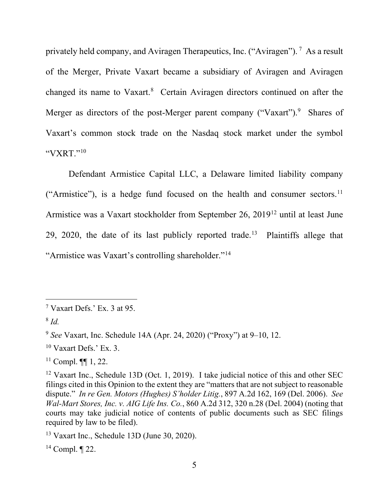privately held company, and Aviragen Therapeutics, Inc. ("Aviragen"). <sup>7</sup> As a result of the Merger, Private Vaxart became a subsidiary of Aviragen and Aviragen changed its name to Vaxart. <sup>8</sup> Certain Aviragen directors continued on after the Merger as directors of the post-Merger parent company ("Vaxart").<sup>9</sup> Shares of Vaxart's common stock trade on the Nasdaq stock market under the symbol " $VXRT$ "<sup>10</sup>

Defendant Armistice Capital LLC, a Delaware limited liability company ("Armistice"), is a hedge fund focused on the health and consumer sectors.<sup>11</sup> Armistice was a Vaxart stockholder from September 26, 201912 until at least June 29, 2020, the date of its last publicly reported trade.<sup>13</sup> Plaintiffs allege that "Armistice was Vaxart's controlling shareholder."14

 $14$  Compl.  $\P$  22.

<sup>7</sup> Vaxart Defs.' Ex. 3 at 95.

<sup>8</sup> *Id.*

<sup>9</sup> *See* Vaxart, Inc. Schedule 14A (Apr. 24, 2020) ("Proxy") at 9–10, 12.

 $10$  Vaxart Defs.' Ex. 3.

 $11$  Compl.  $\P\P$  1, 22.

<sup>&</sup>lt;sup>12</sup> Vaxart Inc., Schedule 13D (Oct. 1, 2019). I take judicial notice of this and other SEC filings cited in this Opinion to the extent they are "matters that are not subject to reasonable dispute." *In re Gen. Motors (Hughes) S'holder Litig.*, 897 A.2d 162, 169 (Del. 2006). *See Wal-Mart Stores, Inc. v. AIG Life Ins. Co.*, 860 A.2d 312, 320 n.28 (Del. 2004) (noting that courts may take judicial notice of contents of public documents such as SEC filings required by law to be filed).

<sup>13</sup> Vaxart Inc., Schedule 13D (June 30, 2020).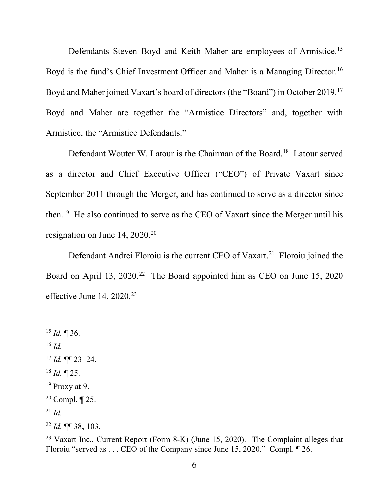Defendants Steven Boyd and Keith Maher are employees of Armistice.15 Boyd is the fund's Chief Investment Officer and Maher is a Managing Director.<sup>16</sup> Boyd and Maher joined Vaxart's board of directors (the "Board") in October 2019.17 Boyd and Maher are together the "Armistice Directors" and, together with Armistice, the "Armistice Defendants."

Defendant Wouter W. Latour is the Chairman of the Board.<sup>18</sup> Latour served as a director and Chief Executive Officer ("CEO") of Private Vaxart since September 2011 through the Merger, and has continued to serve as a director since then.19 He also continued to serve as the CEO of Vaxart since the Merger until his resignation on June  $14, 2020$ <sup>20</sup>

Defendant Andrei Floroiu is the current CEO of Vaxart.<sup>21</sup> Floroiu joined the Board on April 13, 2020.<sup>22</sup> The Board appointed him as CEO on June 15, 2020 effective June 14, 2020.<sup>23</sup>

 $15$  *Id.* 1 36.

- <sup>16</sup> *Id.*
- $17$  *Id.* **¶** 23–24.
- $^{18}$  *Id.*  $\P$  25.
- $19$  Proxy at 9.

- <sup>21</sup> *Id.*
- <sup>22</sup> *Id.* ¶¶ 38, 103.

<sup>23</sup> Vaxart Inc., Current Report (Form 8-K) (June 15, 2020). The Complaint alleges that Floroiu "served as . . . CEO of the Company since June 15, 2020." Compl. ¶ 26.

<sup>&</sup>lt;sup>20</sup> Compl.  $\P$  25.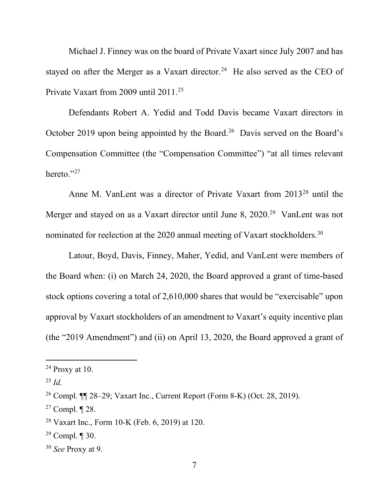Michael J. Finney was on the board of Private Vaxart since July 2007 and has stayed on after the Merger as a Vaxart director.<sup>24</sup> He also served as the CEO of Private Vaxart from 2009 until 2011.<sup>25</sup>

Defendants Robert A. Yedid and Todd Davis became Vaxart directors in October 2019 upon being appointed by the Board.<sup>26</sup> Davis served on the Board's Compensation Committee (the "Compensation Committee") "at all times relevant hereto."27

Anne M. VanLent was a director of Private Vaxart from 2013<sup>28</sup> until the Merger and stayed on as a Vaxart director until June 8, 2020.<sup>29</sup> VanLent was not nominated for reelection at the 2020 annual meeting of Vaxart stockholders.<sup>30</sup>

Latour, Boyd, Davis, Finney, Maher, Yedid, and VanLent were members of the Board when: (i) on March 24, 2020, the Board approved a grant of time-based stock options covering a total of 2,610,000 shares that would be "exercisable" upon approval by Vaxart stockholders of an amendment to Vaxart's equity incentive plan (the "2019 Amendment") and (ii) on April 13, 2020, the Board approved a grant of

 $24$  Proxy at 10.

<sup>25</sup> *Id.*

<sup>26</sup> Compl. ¶¶ 28–29; Vaxart Inc., Current Report (Form 8-K) (Oct. 28, 2019).

<sup>&</sup>lt;sup>27</sup> Compl.  $\P$  28.

<sup>28</sup> Vaxart Inc., Form 10-K (Feb. 6, 2019) at 120.

<sup>&</sup>lt;sup>29</sup> Compl.  $\P$  30.

<sup>30</sup> *See* Proxy at 9.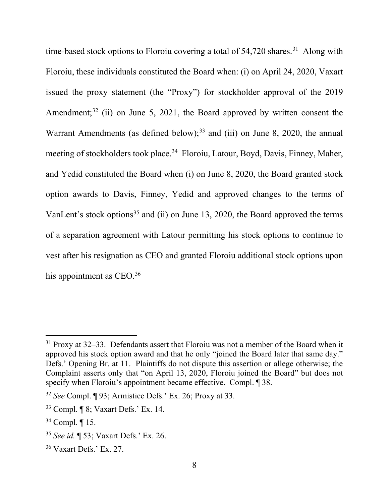time-based stock options to Floroiu covering a total of  $54,720$  shares.<sup>31</sup> Along with Floroiu, these individuals constituted the Board when: (i) on April 24, 2020, Vaxart issued the proxy statement (the "Proxy") for stockholder approval of the 2019 Amendment;<sup>32</sup> (ii) on June 5, 2021, the Board approved by written consent the Warrant Amendments (as defined below);<sup>33</sup> and (iii) on June 8, 2020, the annual meeting of stockholders took place.<sup>34</sup> Floroiu, Latour, Boyd, Davis, Finney, Maher, and Yedid constituted the Board when (i) on June 8, 2020, the Board granted stock option awards to Davis, Finney, Yedid and approved changes to the terms of VanLent's stock options<sup>35</sup> and (ii) on June 13, 2020, the Board approved the terms of a separation agreement with Latour permitting his stock options to continue to vest after his resignation as CEO and granted Floroiu additional stock options upon his appointment as CEO.<sup>36</sup>

 $31$  Proxy at 32–33. Defendants assert that Floroiu was not a member of the Board when it approved his stock option award and that he only "joined the Board later that same day." Defs.' Opening Br. at 11. Plaintiffs do not dispute this assertion or allege otherwise; the Complaint asserts only that "on April 13, 2020, Floroiu joined the Board" but does not specify when Floroiu's appointment became effective. Compl. 1 38.

<sup>32</sup> *See* Compl. ¶ 93; Armistice Defs.' Ex. 26; Proxy at 33.

<sup>33</sup> Compl. ¶ 8; Vaxart Defs.' Ex. 14.

<sup>34</sup> Compl. ¶ 15.

<sup>35</sup> *See id.* ¶ 53; Vaxart Defs.' Ex. 26.

<sup>36</sup> Vaxart Defs.' Ex. 27.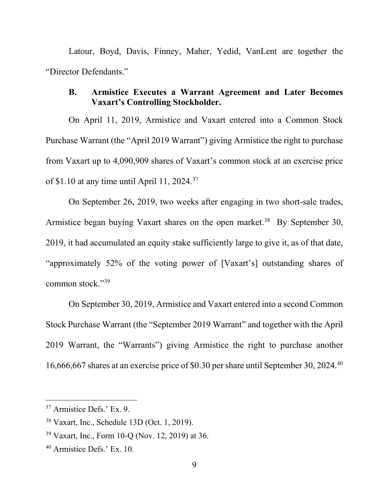Latour, Boyd, Davis, Finney, Maher, Yedid, VanLent are together the "Director Defendants."

# **B. Armistice Executes a Warrant Agreement and Later Becomes Vaxart's Controlling Stockholder.**

On April 11, 2019, Armistice and Vaxart entered into a Common Stock Purchase Warrant (the "April 2019 Warrant") giving Armistice the right to purchase from Vaxart up to 4,090,909 shares of Vaxart's common stock at an exercise price of \$1.10 at any time until April 11, 2024.37

On September 26, 2019, two weeks after engaging in two short-sale trades, Armistice began buying Vaxart shares on the open market.<sup>38</sup> By September 30, 2019, it had accumulated an equity stake sufficiently large to give it, as of that date, "approximately 52% of the voting power of [Vaxart's] outstanding shares of common stock."39

On September 30, 2019, Armistice and Vaxart entered into a second Common Stock Purchase Warrant (the "September 2019 Warrant" and together with the April 2019 Warrant, the "Warrants") giving Armistice the right to purchase another 16,666,667 shares at an exercise price of \$0.30 per share until September 30, 2024.40

<sup>37</sup> Armistice Defs.' Ex. 9.

<sup>38</sup> Vaxart, Inc., Schedule 13D (Oct. 1, 2019).

<sup>39</sup> Vaxart, Inc., Form 10-Q (Nov. 12, 2019) at 36.

<sup>40</sup> Armistice Defs.' Ex. 10.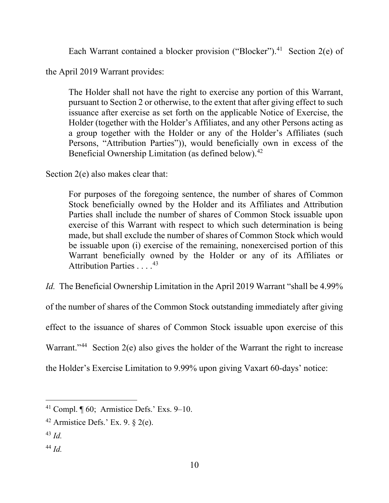Each Warrant contained a blocker provision ("Blocker").<sup>41</sup> Section 2(e) of

the April 2019 Warrant provides:

The Holder shall not have the right to exercise any portion of this Warrant, pursuant to Section 2 or otherwise, to the extent that after giving effect to such issuance after exercise as set forth on the applicable Notice of Exercise, the Holder (together with the Holder's Affiliates, and any other Persons acting as a group together with the Holder or any of the Holder's Affiliates (such Persons, "Attribution Parties")), would beneficially own in excess of the Beneficial Ownership Limitation (as defined below).<sup>42</sup>

Section 2(e) also makes clear that:

For purposes of the foregoing sentence, the number of shares of Common Stock beneficially owned by the Holder and its Affiliates and Attribution Parties shall include the number of shares of Common Stock issuable upon exercise of this Warrant with respect to which such determination is being made, but shall exclude the number of shares of Common Stock which would be issuable upon (i) exercise of the remaining, nonexercised portion of this Warrant beneficially owned by the Holder or any of its Affiliates or Attribution Parties . . . . 43

*Id.* The Beneficial Ownership Limitation in the April 2019 Warrant "shall be 4.99%

of the number of shares of the Common Stock outstanding immediately after giving

effect to the issuance of shares of Common Stock issuable upon exercise of this

Warrant."<sup>44</sup> Section 2(e) also gives the holder of the Warrant the right to increase

the Holder's Exercise Limitation to 9.99% upon giving Vaxart 60-days' notice:

<sup>&</sup>lt;sup>41</sup> Compl.  $\P$  60; Armistice Defs.' Exs. 9–10.

 $42$  Armistice Defs.' Ex. 9.  $\S$  2(e).

 $43$  *Id.* 

<sup>44</sup> *Id.*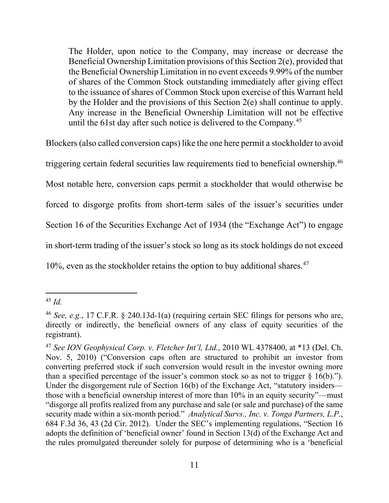The Holder, upon notice to the Company, may increase or decrease the Beneficial Ownership Limitation provisions of this Section 2(e), provided that the Beneficial Ownership Limitation in no event exceeds 9.99% of the number of shares of the Common Stock outstanding immediately after giving effect to the issuance of shares of Common Stock upon exercise of this Warrant held by the Holder and the provisions of this Section 2(e) shall continue to apply. Any increase in the Beneficial Ownership Limitation will not be effective until the 61st day after such notice is delivered to the Company.45

Blockers (also called conversion caps) like the one here permit a stockholder to avoid triggering certain federal securities law requirements tied to beneficial ownership.46 Most notable here, conversion caps permit a stockholder that would otherwise be forced to disgorge profits from short-term sales of the issuer's securities under Section 16 of the Securities Exchange Act of 1934 (the "Exchange Act") to engage in short-term trading of the issuer's stock so long as its stock holdings do not exceed 10%, even as the stockholder retains the option to buy additional shares. 47

<sup>45</sup> *Id.*

<sup>46</sup> *See, e.g.*, 17 C.F.R. § 240.13d-1(a) (requiring certain SEC filings for persons who are, directly or indirectly, the beneficial owners of any class of equity securities of the registrant).

<sup>47</sup> *See ION Geophysical Corp. v. Fletcher Int'l, Ltd.*, 2010 WL 4378400, at \*13 (Del. Ch. Nov. 5, 2010) ("Conversion caps often are structured to prohibit an investor from converting preferred stock if such conversion would result in the investor owning more than a specified percentage of the issuer's common stock so as not to trigger  $\S$  16(b)."). Under the disgorgement rule of Section 16(b) of the Exchange Act, "statutory insiders those with a beneficial ownership interest of more than 10% in an equity security"—must "disgorge all profits realized from any purchase and sale (or sale and purchase) of the same security made within a six-month period." *Analytical Survs., Inc. v. Tonga Partners, L.P.*, 684 F.3d 36, 43 (2d Cir. 2012). Under the SEC's implementing regulations, "Section 16 adopts the definition of 'beneficial owner' found in Section 13(d) of the Exchange Act and the rules promulgated thereunder solely for purpose of determining who is a 'beneficial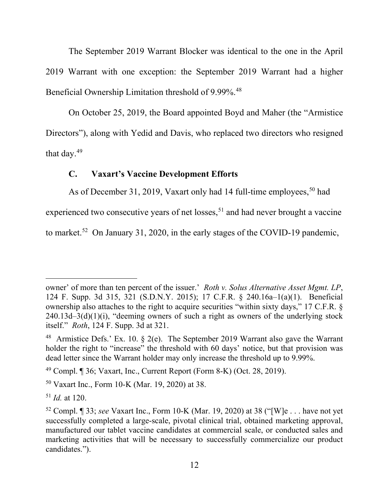The September 2019 Warrant Blocker was identical to the one in the April 2019 Warrant with one exception: the September 2019 Warrant had a higher Beneficial Ownership Limitation threshold of 9.99%.<sup>48</sup>

On October 25, 2019, the Board appointed Boyd and Maher (the "Armistice Directors"), along with Yedid and Davis, who replaced two directors who resigned that day.49

## **C. Vaxart's Vaccine Development Efforts**

As of December 31, 2019, Vaxart only had 14 full-time employees,<sup>50</sup> had

experienced two consecutive years of net losses,  $51$  and had never brought a vaccine

to market.<sup>52</sup> On January 31, 2020, in the early stages of the COVID-19 pandemic,

owner' of more than ten percent of the issuer.' *Roth v. Solus Alternative Asset Mgmt. LP*, 124 F. Supp. 3d 315, 321 (S.D.N.Y. 2015); 17 C.F.R. § 240.16a–1(a)(1). Beneficial ownership also attaches to the right to acquire securities "within sixty days," 17 C.F.R. §  $240.13d-3(d)(1)(i)$ , "deeming owners of such a right as owners of the underlying stock itself." *Roth*, 124 F. Supp. 3d at 321.

<sup>48</sup> Armistice Defs.' Ex. 10. § 2(e). The September 2019 Warrant also gave the Warrant holder the right to "increase" the threshold with 60 days' notice, but that provision was dead letter since the Warrant holder may only increase the threshold up to 9.99%.

 $49$  Compl. ¶ 36; Vaxart, Inc., Current Report (Form 8-K) (Oct. 28, 2019).

<sup>50</sup> Vaxart Inc., Form 10-K (Mar. 19, 2020) at 38.

<sup>51</sup> *Id.* at 120.

<sup>52</sup> Compl. ¶ 33; *see* Vaxart Inc., Form 10-K (Mar. 19, 2020) at 38 ("[W]e . . . have not yet successfully completed a large-scale, pivotal clinical trial, obtained marketing approval, manufactured our tablet vaccine candidates at commercial scale, or conducted sales and marketing activities that will be necessary to successfully commercialize our product candidates.").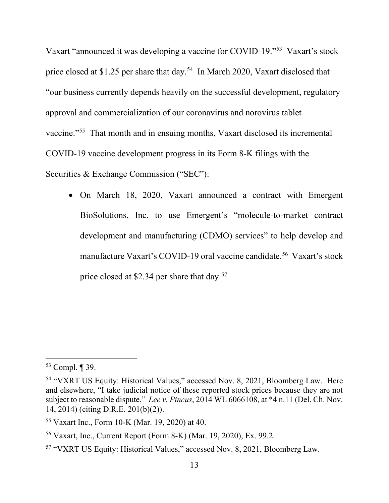Vaxart "announced it was developing a vaccine for COVID-19."53 Vaxart's stock price closed at \$1.25 per share that day.<sup>54</sup> In March 2020, Vaxart disclosed that "our business currently depends heavily on the successful development, regulatory approval and commercialization of our coronavirus and norovirus tablet vaccine."55 That month and in ensuing months, Vaxart disclosed its incremental COVID-19 vaccine development progress in its Form 8-K filings with the Securities & Exchange Commission ("SEC"):

• On March 18, 2020, Vaxart announced a contract with Emergent BioSolutions, Inc. to use Emergent's "molecule-to-market contract development and manufacturing (CDMO) services" to help develop and manufacture Vaxart's COVID-19 oral vaccine candidate.<sup>56</sup> Vaxart's stock price closed at \$2.34 per share that day.<sup>57</sup>

<sup>53</sup> Compl. ¶ 39.

<sup>54</sup> "VXRT US Equity: Historical Values," accessed Nov. 8, 2021, Bloomberg Law. Here and elsewhere, "I take judicial notice of these reported stock prices because they are not subject to reasonable dispute." *Lee v. Pincus*, 2014 WL 6066108, at \*4 n.11 (Del. Ch. Nov. 14, 2014) (citing D.R.E. 201(b)(2)).

<sup>55</sup> Vaxart Inc., Form 10-K (Mar. 19, 2020) at 40.

<sup>56</sup> Vaxart, Inc., Current Report (Form 8-K) (Mar. 19, 2020), Ex. 99.2.

<sup>57</sup> "VXRT US Equity: Historical Values," accessed Nov. 8, 2021, Bloomberg Law.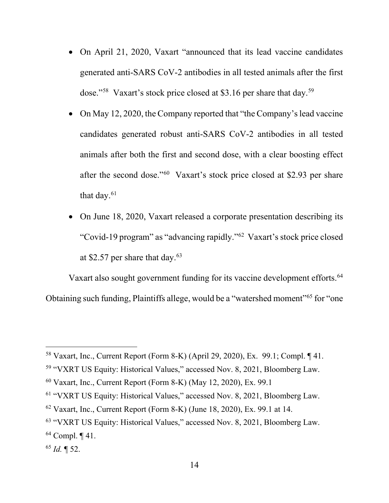- On April 21, 2020, Vaxart "announced that its lead vaccine candidates generated anti-SARS CoV-2 antibodies in all tested animals after the first dose."58 Vaxart's stock price closed at \$3.16 per share that day.59
- On May 12, 2020, the Company reported that "the Company's lead vaccine" candidates generated robust anti-SARS CoV-2 antibodies in all tested animals after both the first and second dose, with a clear boosting effect after the second dose."60 Vaxart's stock price closed at \$2.93 per share that day.<sup>61</sup>
- On June 18, 2020, Vaxart released a corporate presentation describing its "Covid-19 program" as "advancing rapidly."62 Vaxart's stock price closed at \$2.57 per share that day. $63$

Vaxart also sought government funding for its vaccine development efforts.<sup>64</sup> Obtaining such funding, Plaintiffs allege, would be a "watershed moment"65 for "one

<sup>58</sup> Vaxart, Inc., Current Report (Form 8-K) (April 29, 2020), Ex. 99.1; Compl. ¶ 41.

<sup>59</sup> "VXRT US Equity: Historical Values," accessed Nov. 8, 2021, Bloomberg Law.

 $60$  Vaxart, Inc., Current Report (Form 8-K) (May 12, 2020), Ex. 99.1

<sup>61</sup> "VXRT US Equity: Historical Values," accessed Nov. 8, 2021, Bloomberg Law.

 $62$  Vaxart, Inc., Current Report (Form 8-K) (June 18, 2020), Ex. 99.1 at 14.

<sup>63</sup> "VXRT US Equity: Historical Values," accessed Nov. 8, 2021, Bloomberg Law.

<sup>64</sup> Compl. ¶ 41.

<sup>65</sup> *Id.* ¶ 52.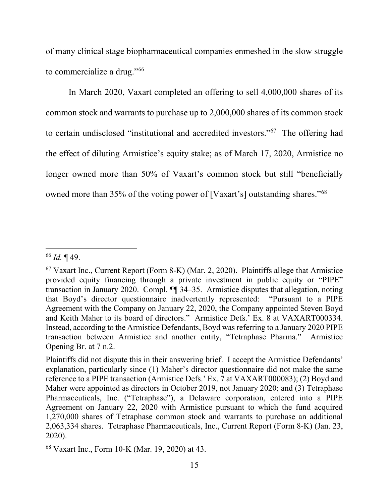of many clinical stage biopharmaceutical companies enmeshed in the slow struggle to commercialize a drug."66

In March 2020, Vaxart completed an offering to sell 4,000,000 shares of its common stock and warrants to purchase up to 2,000,000 shares of its common stock to certain undisclosed "institutional and accredited investors."67 The offering had the effect of diluting Armistice's equity stake; as of March 17, 2020, Armistice no longer owned more than 50% of Vaxart's common stock but still "beneficially owned more than 35% of the voting power of [Vaxart's] outstanding shares."<sup>68</sup>

<sup>66</sup> *Id.* ¶ 49.

 $67$  Vaxart Inc., Current Report (Form 8-K) (Mar. 2, 2020). Plaintiffs allege that Armistice provided equity financing through a private investment in public equity or "PIPE" transaction in January 2020. Compl. ¶¶ 34–35. Armistice disputes that allegation, noting that Boyd's director questionnaire inadvertently represented: "Pursuant to a PIPE Agreement with the Company on January 22, 2020, the Company appointed Steven Boyd and Keith Maher to its board of directors." Armistice Defs.' Ex. 8 at VAXART000334. Instead, according to the Armistice Defendants, Boyd was referring to a January 2020 PIPE transaction between Armistice and another entity, "Tetraphase Pharma." Armistice Opening Br. at 7 n.2.

Plaintiffs did not dispute this in their answering brief. I accept the Armistice Defendants' explanation, particularly since (1) Maher's director questionnaire did not make the same reference to a PIPE transaction (Armistice Defs.' Ex. 7 at VAXART000083); (2) Boyd and Maher were appointed as directors in October 2019, not January 2020; and (3) Tetraphase Pharmaceuticals, Inc. ("Tetraphase"), a Delaware corporation, entered into a PIPE Agreement on January 22, 2020 with Armistice pursuant to which the fund acquired 1,270,000 shares of Tetraphase common stock and warrants to purchase an additional 2,063,334 shares. Tetraphase Pharmaceuticals, Inc., Current Report (Form 8-K) (Jan. 23, 2020).

<sup>68</sup> Vaxart Inc., Form 10-K (Mar. 19, 2020) at 43.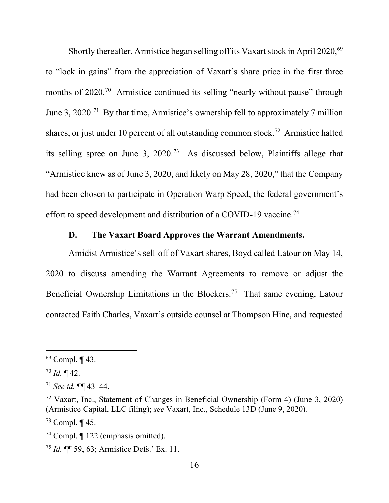Shortly thereafter, Armistice began selling off its Vaxart stock in April 2020,<sup>69</sup> to "lock in gains" from the appreciation of Vaxart's share price in the first three months of 2020.<sup>70</sup> Armistice continued its selling "nearly without pause" through June 3, 2020.71 By that time, Armistice's ownership fell to approximately 7 million shares, or just under 10 percent of all outstanding common stock. 72 Armistice halted its selling spree on June 3, 2020.73 As discussed below, Plaintiffs allege that "Armistice knew as of June 3, 2020, and likely on May 28, 2020," that the Company had been chosen to participate in Operation Warp Speed, the federal government's effort to speed development and distribution of a COVID-19 vaccine.<sup>74</sup>

### **D. The Vaxart Board Approves the Warrant Amendments.**

Amidist Armistice's sell-off of Vaxart shares, Boyd called Latour on May 14, 2020 to discuss amending the Warrant Agreements to remove or adjust the Beneficial Ownership Limitations in the Blockers. 75 That same evening, Latour contacted Faith Charles, Vaxart's outside counsel at Thompson Hine, and requested

 $69$  Compl.  $\P$  43.

 $70$  *Id.*  $\P$  42.

<sup>71</sup> *See id.* ¶¶ 43–44.

<sup>72</sup> Vaxart, Inc., Statement of Changes in Beneficial Ownership (Form 4) (June 3, 2020) (Armistice Capital, LLC filing); *see* Vaxart, Inc., Schedule 13D (June 9, 2020).

 $73$  Compl.  $\P$  45.

<sup>74</sup> Compl. ¶ 122 (emphasis omitted).

<sup>75</sup> *Id.* ¶¶ 59, 63; Armistice Defs.' Ex. 11.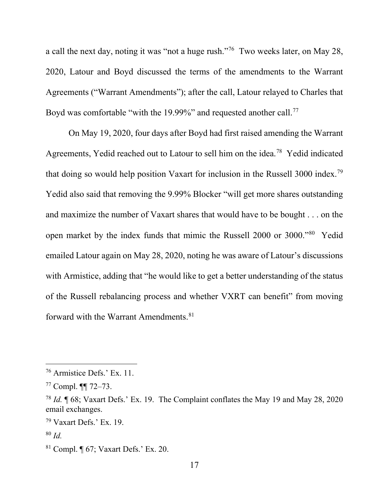a call the next day, noting it was "not a huge rush."76 Two weeks later, on May 28, 2020, Latour and Boyd discussed the terms of the amendments to the Warrant Agreements ("Warrant Amendments"); after the call, Latour relayed to Charles that Boyd was comfortable "with the 19.99%" and requested another call.<sup>77</sup>

On May 19, 2020, four days after Boyd had first raised amending the Warrant Agreements, Yedid reached out to Latour to sell him on the idea.78 Yedid indicated that doing so would help position Vaxart for inclusion in the Russell 3000 index.79 Yedid also said that removing the 9.99% Blocker "will get more shares outstanding and maximize the number of Vaxart shares that would have to be bought . . . on the open market by the index funds that mimic the Russell 2000 or 3000."80 Yedid emailed Latour again on May 28, 2020, noting he was aware of Latour's discussions with Armistice, adding that "he would like to get a better understanding of the status of the Russell rebalancing process and whether VXRT can benefit" from moving forward with the Warrant Amendments.<sup>81</sup>

<sup>76</sup> Armistice Defs.' Ex. 11.

<sup>77</sup> Compl. ¶¶ 72–73.

<sup>78</sup> *Id.* ¶ 68; Vaxart Defs.' Ex. 19. The Complaint conflates the May 19 and May 28, 2020 email exchanges.

 $79$  Vaxart Defs.' Ex. 19.

<sup>80</sup> *Id.*

<sup>81</sup> Compl. ¶ 67; Vaxart Defs.' Ex. 20.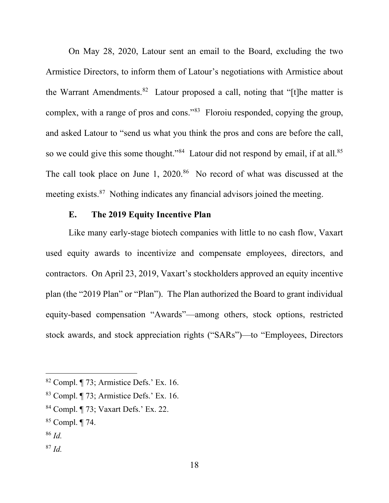On May 28, 2020, Latour sent an email to the Board, excluding the two Armistice Directors, to inform them of Latour's negotiations with Armistice about the Warrant Amendments.<sup>82</sup> Latour proposed a call, noting that "[t] he matter is complex, with a range of pros and cons."83 Floroiu responded, copying the group, and asked Latour to "send us what you think the pros and cons are before the call, so we could give this some thought."<sup>84</sup> Latour did not respond by email, if at all.<sup>85</sup> The call took place on June 1, 2020.<sup>86</sup> No record of what was discussed at the meeting exists.<sup>87</sup> Nothing indicates any financial advisors joined the meeting.

## **E. The 2019 Equity Incentive Plan**

Like many early-stage biotech companies with little to no cash flow, Vaxart used equity awards to incentivize and compensate employees, directors, and contractors. On April 23, 2019, Vaxart's stockholders approved an equity incentive plan (the "2019 Plan" or "Plan"). The Plan authorized the Board to grant individual equity-based compensation "Awards"—among others, stock options, restricted stock awards, and stock appreciation rights ("SARs")—to "Employees, Directors

<sup>86</sup> *Id.*

 $82$  Compl.  $\P$  73; Armistice Defs.' Ex. 16.

<sup>83</sup> Compl. ¶ 73; Armistice Defs.' Ex. 16.

<sup>84</sup> Compl. ¶ 73; Vaxart Defs.' Ex. 22.

<sup>85</sup> Compl. ¶ 74.

<sup>87</sup> *Id.*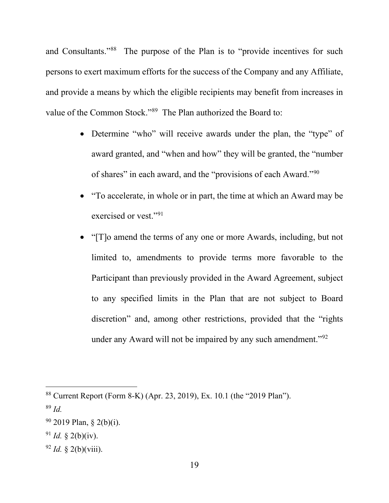and Consultants."<sup>88</sup> The purpose of the Plan is to "provide incentives for such persons to exert maximum efforts for the success of the Company and any Affiliate, and provide a means by which the eligible recipients may benefit from increases in value of the Common Stock."<sup>89</sup> The Plan authorized the Board to:

- Determine "who" will receive awards under the plan, the "type" of award granted, and "when and how" they will be granted, the "number of shares" in each award, and the "provisions of each Award."90
- "To accelerate, in whole or in part, the time at which an Award may be exercised or vest."<sup>91</sup>
- "[T]o amend the terms of any one or more Awards, including, but not limited to, amendments to provide terms more favorable to the Participant than previously provided in the Award Agreement, subject to any specified limits in the Plan that are not subject to Board discretion" and, among other restrictions, provided that the "rights under any Award will not be impaired by any such amendment."<sup>92</sup>

<sup>88</sup> Current Report (Form 8-K) (Apr. 23, 2019), Ex. 10.1 (the "2019 Plan").

<sup>89</sup> *Id.*

 $90$  2019 Plan, § 2(b)(i).

 $91$  *Id.* § 2(b)(iv).

 $^{92}$  *Id.* § 2(b)(viii).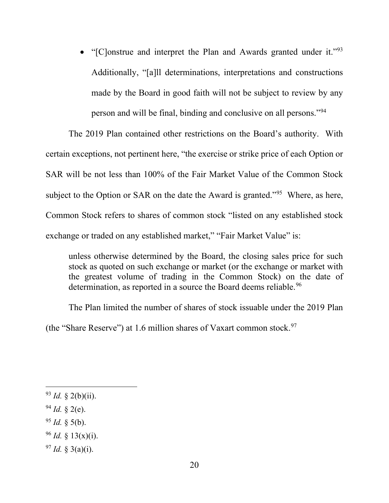• "[C]onstrue and interpret the Plan and Awards granted under it."<sup>93</sup> Additionally, "[a]ll determinations, interpretations and constructions made by the Board in good faith will not be subject to review by any person and will be final, binding and conclusive on all persons."94

The 2019 Plan contained other restrictions on the Board's authority. With certain exceptions, not pertinent here, "the exercise or strike price of each Option or SAR will be not less than 100% of the Fair Market Value of the Common Stock subject to the Option or SAR on the date the Award is granted."<sup>95</sup> Where, as here, Common Stock refers to shares of common stock "listed on any established stock exchange or traded on any established market," "Fair Market Value" is:

unless otherwise determined by the Board, the closing sales price for such stock as quoted on such exchange or market (or the exchange or market with the greatest volume of trading in the Common Stock) on the date of determination, as reported in a source the Board deems reliable.<sup>96</sup>

The Plan limited the number of shares of stock issuable under the 2019 Plan (the "Share Reserve") at 1.6 million shares of Vaxart common stock.<sup>97</sup>

- $94$  *Id.* § 2(e).
- <sup>95</sup> *Id.* § 5(b).
- $96$  *Id.* § 13(x)(i).
- $^{97}$  *Id.* § 3(a)(i).

 $93$  *Id.* § 2(b)(ii).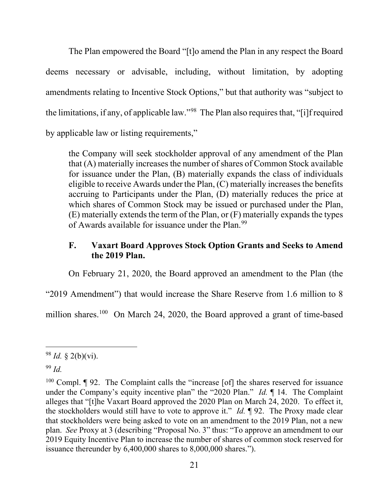The Plan empowered the Board "[t]o amend the Plan in any respect the Board deems necessary or advisable, including, without limitation, by adopting amendments relating to Incentive Stock Options," but that authority was "subject to the limitations, if any, of applicable law."<sup>98</sup> The Plan also requires that, "[i]f required by applicable law or listing requirements,"

the Company will seek stockholder approval of any amendment of the Plan that (A) materially increases the number of shares of Common Stock available for issuance under the Plan, (B) materially expands the class of individuals eligible to receive Awards under the Plan, (C) materially increases the benefits accruing to Participants under the Plan, (D) materially reduces the price at which shares of Common Stock may be issued or purchased under the Plan, (E) materially extends the term of the Plan, or (F) materially expands the types of Awards available for issuance under the Plan.<sup>99</sup>

# **F. Vaxart Board Approves Stock Option Grants and Seeks to Amend the 2019 Plan.**

On February 21, 2020, the Board approved an amendment to the Plan (the

"2019 Amendment") that would increase the Share Reserve from 1.6 million to 8

million shares.<sup>100</sup> On March 24, 2020, the Board approved a grant of time-based

<sup>98</sup> *Id.* § 2(b)(vi).

<sup>99</sup> *Id.*

 $100$  Compl.  $\P$  92. The Complaint calls the "increase [of] the shares reserved for issuance under the Company's equity incentive plan" the "2020 Plan." *Id.* ¶ 14. The Complaint alleges that "[t]he Vaxart Board approved the 2020 Plan on March 24, 2020. To effect it, the stockholders would still have to vote to approve it." *Id.* ¶ 92. The Proxy made clear that stockholders were being asked to vote on an amendment to the 2019 Plan, not a new plan. *See* Proxy at 3 (describing "Proposal No. 3" thus: "To approve an amendment to our 2019 Equity Incentive Plan to increase the number of shares of common stock reserved for issuance thereunder by 6,400,000 shares to 8,000,000 shares.").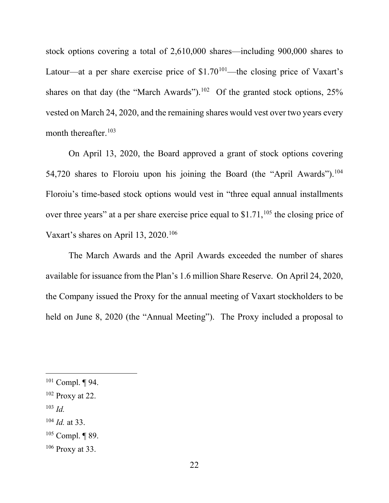stock options covering a total of 2,610,000 shares—including 900,000 shares to Latour—at a per share exercise price of  $$1.70^{101}$ —the closing price of Vaxart's shares on that day (the "March Awards").<sup>102</sup> Of the granted stock options,  $25\%$ vested on March 24, 2020, and the remaining shares would vest over two years every month thereafter.  $103$ 

On April 13, 2020, the Board approved a grant of stock options covering 54,720 shares to Floroiu upon his joining the Board (the "April Awards").<sup>104</sup> Floroiu's time-based stock options would vest in "three equal annual installments over three years" at a per share exercise price equal to  $$1.71$ ,<sup>105</sup> the closing price of Vaxart's shares on April 13, 2020.<sup>106</sup>

The March Awards and the April Awards exceeded the number of shares available for issuance from the Plan's 1.6 million Share Reserve. On April 24, 2020, the Company issued the Proxy for the annual meeting of Vaxart stockholders to be held on June 8, 2020 (the "Annual Meeting"). The Proxy included a proposal to

- <sup>103</sup> *Id.*
- <sup>104</sup> *Id.* at 33.

 $101$  Compl. ¶ 94.

 $102$  Proxy at 22.

 $105$  Compl. ¶ 89.

 $106$  Proxy at 33.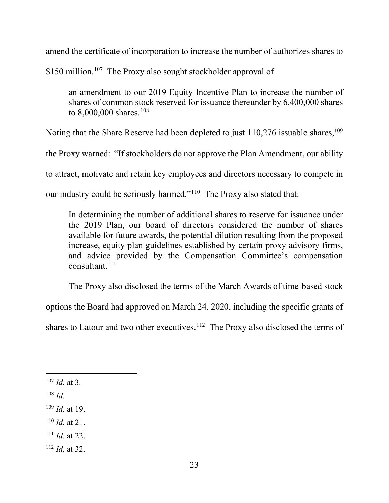amend the certificate of incorporation to increase the number of authorizes shares to

\$150 million.<sup>107</sup> The Proxy also sought stockholder approval of

an amendment to our 2019 Equity Incentive Plan to increase the number of shares of common stock reserved for issuance thereunder by 6,400,000 shares to  $8,000,000$  shares.<sup>108</sup>

Noting that the Share Reserve had been depleted to just  $110,276$  issuable shares,  $109$ 

the Proxy warned: "If stockholders do not approve the Plan Amendment, our ability

to attract, motivate and retain key employees and directors necessary to compete in

our industry could be seriously harmed."110 The Proxy also stated that:

In determining the number of additional shares to reserve for issuance under the 2019 Plan, our board of directors considered the number of shares available for future awards, the potential dilution resulting from the proposed increase, equity plan guidelines established by certain proxy advisory firms, and advice provided by the Compensation Committee's compensation consultant.<sup>111</sup>

The Proxy also disclosed the terms of the March Awards of time-based stock

options the Board had approved on March 24, 2020, including the specific grants of

shares to Latour and two other executives.<sup>112</sup> The Proxy also disclosed the terms of

<sup>110</sup> *Id.* at 21.

<sup>112</sup> *Id.* at 32.

<sup>107</sup> *Id.* at 3.

<sup>108</sup> *Id.*

<sup>109</sup> *Id.* at 19.

<sup>111</sup> *Id.* at 22.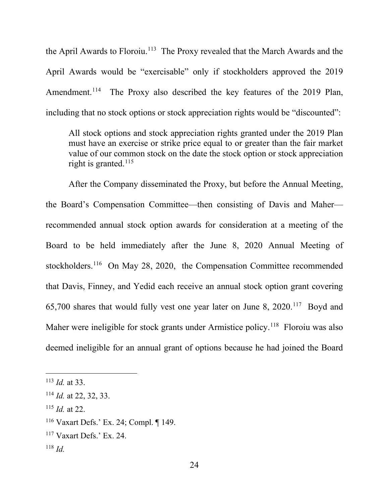the April Awards to Floroiu.<sup>113</sup> The Proxy revealed that the March Awards and the April Awards would be "exercisable" only if stockholders approved the 2019 Amendment.<sup>114</sup> The Proxy also described the key features of the 2019 Plan, including that no stock options or stock appreciation rights would be "discounted":

All stock options and stock appreciation rights granted under the 2019 Plan must have an exercise or strike price equal to or greater than the fair market value of our common stock on the date the stock option or stock appreciation right is granted. $115$ 

After the Company disseminated the Proxy, but before the Annual Meeting, the Board's Compensation Committee—then consisting of Davis and Maher recommended annual stock option awards for consideration at a meeting of the Board to be held immediately after the June 8, 2020 Annual Meeting of stockholders.<sup>116</sup> On May 28, 2020, the Compensation Committee recommended that Davis, Finney, and Yedid each receive an annual stock option grant covering 65,700 shares that would fully vest one year later on June 8, 2020.117 Boyd and Maher were ineligible for stock grants under Armistice policy.<sup>118</sup> Floroiu was also deemed ineligible for an annual grant of options because he had joined the Board

<sup>115</sup> *Id.* at 22.

<sup>113</sup> *Id.* at 33.

<sup>114</sup> *Id.* at 22, 32, 33.

<sup>116</sup> Vaxart Defs.' Ex. 24; Compl. ¶ 149.

 $117$  Vaxart Defs.' Ex. 24.

<sup>118</sup> *Id.*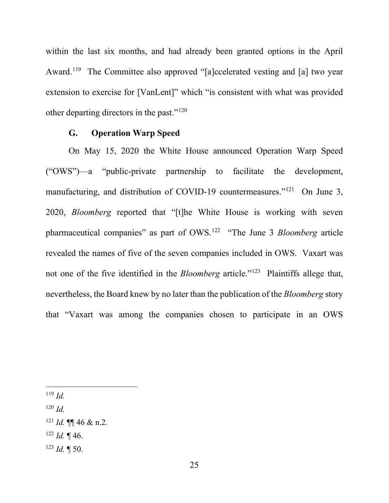within the last six months, and had already been granted options in the April Award.<sup>119</sup> The Committee also approved "[a]ccelerated vesting and [a] two year extension to exercise for [VanLent]" which "is consistent with what was provided other departing directors in the past."120

## **G. Operation Warp Speed**

On May 15, 2020 the White House announced Operation Warp Speed ("OWS")—a "public-private partnership to facilitate the development, manufacturing, and distribution of COVID-19 countermeasures."<sup>121</sup> On June 3, 2020, *Bloomberg* reported that "[t]he White House is working with seven pharmaceutical companies" as part of OWS.122 "The June 3 *Bloomberg* article revealed the names of five of the seven companies included in OWS. Vaxart was not one of the five identified in the *Bloomberg* article."123 Plaintiffs allege that, nevertheless, the Board knew by no later than the publication of the *Bloomberg* story that "Vaxart was among the companies chosen to participate in an OWS

<sup>119</sup> *Id.*

<sup>120</sup> *Id.*

- $121$  *Id.* **¶** 46 & n.2.
- $122$  *Id.* 146.
- <sup>123</sup> *Id.* ¶ 50.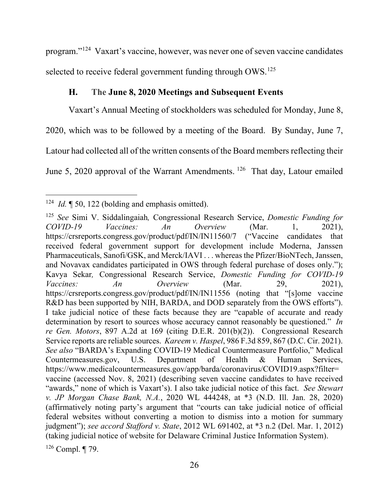program."124 Vaxart's vaccine, however, was never one of seven vaccine candidates selected to receive federal government funding through  $OWS<sup>125</sup>$ 

# **H. The June 8, 2020 Meetings and Subsequent Events**

Vaxart's Annual Meeting of stockholders was scheduled for Monday, June 8, 2020, which was to be followed by a meeting of the Board. By Sunday, June 7, Latour had collected all of the written consents of the Board members reflecting their June 5, 2020 approval of the Warrant Amendments. 126 That day, Latour emailed

<sup>&</sup>lt;sup>124</sup> *Id.* ¶ 50, 122 (bolding and emphasis omitted).

<sup>125</sup> *See* Simi V. Siddalingaiah*,* Congressional Research Service, *Domestic Funding for COVID-19 Vaccines: An Overview* (Mar. 1, 2021), https://crsreports.congress.gov/product/pdf/IN/IN11560/7 ("Vaccine candidates that received federal government support for development include Moderna, Janssen Pharmaceuticals, Sanofi/GSK, and Merck/IAVI . . . whereas the Pfizer/BioNTech, Janssen, and Novavax candidates participated in OWS through federal purchase of doses only."); Kavya Sekar*,* Congressional Research Service, *Domestic Funding for COVID-19 Vaccines: An Overview* (Mar. 29, 2021), https://crsreports.congress.gov/product/pdf/IN/IN11556 (noting that "[s]ome vaccine R&D has been supported by NIH, BARDA, and DOD separately from the OWS efforts"). I take judicial notice of these facts because they are "capable of accurate and ready determination by resort to sources whose accuracy cannot reasonably be questioned." *In re Gen. Motors*, 897 A.2d at 169 (citing D.E.R. 201(b)(2)). Congressional Research Service reports are reliable sources. *Kareem v. Haspel*, 986 F.3d 859, 867 (D.C. Cir. 2021). *See also* "BARDA's Expanding COVID-19 Medical Countermeasure Portfolio," Medical Countermeasures.gov, U.S. Department of Health & Human Services, https://www.medicalcountermeasures.gov/app/barda/coronavirus/COVID19.aspx?filter= vaccine (accessed Nov. 8, 2021) (describing seven vaccine candidates to have received "awards," none of which is Vaxart's). I also take judicial notice of this fact. *See Stewart v. JP Morgan Chase Bank, N.A.*, 2020 WL 444248, at \*3 (N.D. Ill. Jan. 28, 2020) (affirmatively noting party's argument that "courts can take judicial notice of official federal websites without converting a motion to dismiss into a motion for summary judgment"); *see accord Stafford v. State*, 2012 WL 691402, at \*3 n.2 (Del. Mar. 1, 2012) (taking judicial notice of website for Delaware Criminal Justice Information System).

 $126$  Compl. ¶ 79.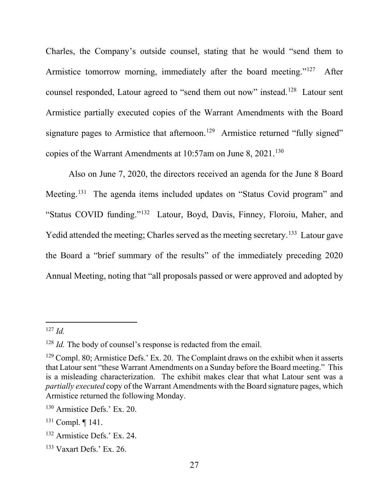Charles, the Company's outside counsel, stating that he would "send them to Armistice tomorrow morning, immediately after the board meeting."<sup>127</sup> After counsel responded, Latour agreed to "send them out now" instead.<sup>128</sup> Latour sent Armistice partially executed copies of the Warrant Amendments with the Board signature pages to Armistice that afternoon.<sup>129</sup> Armistice returned "fully signed" copies of the Warrant Amendments at 10:57am on June 8, 2021.<sup>130</sup>

Also on June 7, 2020, the directors received an agenda for the June 8 Board Meeting.131 The agenda items included updates on "Status Covid program" and "Status COVID funding."132 Latour, Boyd, Davis, Finney, Floroiu, Maher, and Yedid attended the meeting; Charles served as the meeting secretary.<sup>133</sup> Latour gave the Board a "brief summary of the results" of the immediately preceding 2020 Annual Meeting, noting that "all proposals passed or were approved and adopted by

<sup>127</sup> *Id.*

<sup>&</sup>lt;sup>128</sup> *Id.* The body of counsel's response is redacted from the email.

 $129$  Compl. 80; Armistice Defs.' Ex. 20. The Complaint draws on the exhibit when it asserts that Latour sent "these Warrant Amendments on a Sunday before the Board meeting." This is a misleading characterization. The exhibit makes clear that what Latour sent was a *partially executed* copy of the Warrant Amendments with the Board signature pages, which Armistice returned the following Monday.

<sup>130</sup> Armistice Defs.' Ex. 20.

<sup>131</sup> Compl. ¶ 141.

<sup>132</sup> Armistice Defs.' Ex. 24.

 $133$  Vaxart Defs.' Ex. 26.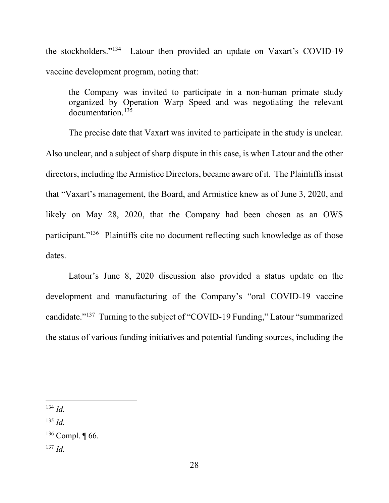the stockholders."134 Latour then provided an update on Vaxart's COVID-19 vaccine development program, noting that:

the Company was invited to participate in a non-human primate study organized by Operation Warp Speed and was negotiating the relevant documentation.135

The precise date that Vaxart was invited to participate in the study is unclear. Also unclear, and a subject of sharp dispute in this case, is when Latour and the other directors, including the Armistice Directors, became aware of it. The Plaintiffs insist that "Vaxart's management, the Board, and Armistice knew as of June 3, 2020, and likely on May 28, 2020, that the Company had been chosen as an OWS participant."136 Plaintiffs cite no document reflecting such knowledge as of those dates.

Latour's June 8, 2020 discussion also provided a status update on the development and manufacturing of the Company's "oral COVID-19 vaccine candidate."137 Turning to the subject of "COVID-19 Funding," Latour "summarized the status of various funding initiatives and potential funding sources, including the

<sup>135</sup> *Id.*

<sup>137</sup> *Id.*

<sup>134</sup> *Id.*

 $136$  Compl.  $\P$  66.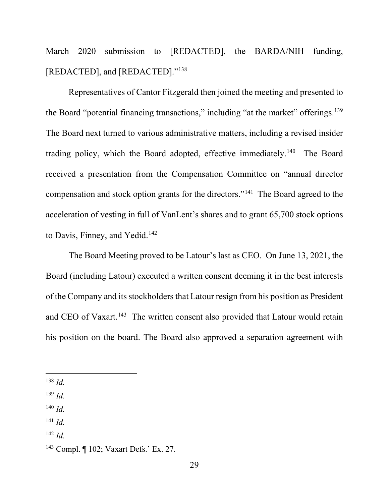March 2020 submission to [REDACTED], the BARDA/NIH funding, [REDACTED], and [REDACTED]."<sup>138</sup>

Representatives of Cantor Fitzgerald then joined the meeting and presented to the Board "potential financing transactions," including "at the market" offerings.<sup>139</sup> The Board next turned to various administrative matters, including a revised insider trading policy, which the Board adopted, effective immediately.<sup>140</sup> The Board received a presentation from the Compensation Committee on "annual director compensation and stock option grants for the directors."141 The Board agreed to the acceleration of vesting in full of VanLent's shares and to grant 65,700 stock options to Davis, Finney, and Yedid.<sup>142</sup>

The Board Meeting proved to be Latour's last as CEO. On June 13, 2021, the Board (including Latour) executed a written consent deeming it in the best interests of the Company and its stockholders that Latour resign from his position as President and CEO of Vaxart.<sup>143</sup> The written consent also provided that Latour would retain his position on the board. The Board also approved a separation agreement with

- <sup>140</sup> *Id.*
- <sup>141</sup> *Id.*

<sup>138</sup> *Id.*

<sup>139</sup> *Id.*

<sup>142</sup> *Id.*

<sup>143</sup> Compl. ¶ 102; Vaxart Defs.' Ex. 27.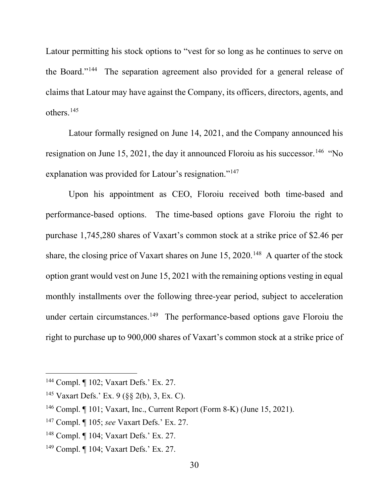Latour permitting his stock options to "vest for so long as he continues to serve on the Board."144 The separation agreement also provided for a general release of claims that Latour may have against the Company, its officers, directors, agents, and others.145

Latour formally resigned on June 14, 2021, and the Company announced his resignation on June 15, 2021, the day it announced Floroiu as his successor.<sup>146</sup> "No explanation was provided for Latour's resignation."<sup>147</sup>

Upon his appointment as CEO, Floroiu received both time-based and performance-based options. The time-based options gave Floroiu the right to purchase 1,745,280 shares of Vaxart's common stock at a strike price of \$2.46 per share, the closing price of Vaxart shares on June  $15, 2020$ .<sup>148</sup> A quarter of the stock option grant would vest on June 15, 2021 with the remaining options vesting in equal monthly installments over the following three-year period, subject to acceleration under certain circumstances.<sup>149</sup> The performance-based options gave Floroiu the right to purchase up to 900,000 shares of Vaxart's common stock at a strike price of

<sup>144</sup> Compl. ¶ 102; Vaxart Defs.' Ex. 27.

<sup>&</sup>lt;sup>145</sup> Vaxart Defs.' Ex. 9 ( $\S$ § 2(b), 3, Ex. C).

<sup>146</sup> Compl. ¶ 101; Vaxart, Inc., Current Report (Form 8-K) (June 15, 2021).

<sup>147</sup> Compl. ¶ 105; *see* Vaxart Defs.' Ex. 27.

<sup>148</sup> Compl. ¶ 104; Vaxart Defs.' Ex. 27.

<sup>149</sup> Compl. ¶ 104; Vaxart Defs.' Ex. 27.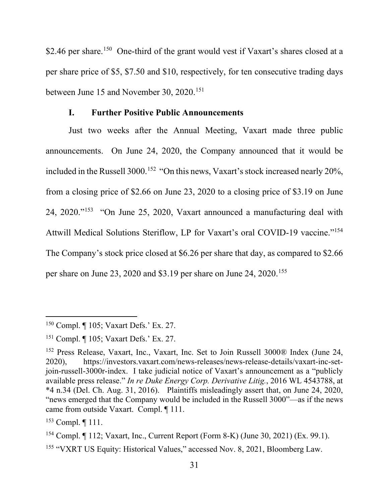\$2.46 per share.<sup>150</sup> One-third of the grant would vest if Vaxart's shares closed at a per share price of \$5, \$7.50 and \$10, respectively, for ten consecutive trading days between June 15 and November 30, 2020.<sup>151</sup>

## **I. Further Positive Public Announcements**

Just two weeks after the Annual Meeting, Vaxart made three public announcements. On June 24, 2020, the Company announced that it would be included in the Russell 3000.<sup>152</sup> "On this news, Vaxart's stock increased nearly 20%, from a closing price of \$2.66 on June 23, 2020 to a closing price of \$3.19 on June 24, 2020."153 "On June 25, 2020, Vaxart announced a manufacturing deal with Attwill Medical Solutions Steriflow, LP for Vaxart's oral COVID-19 vaccine."<sup>154</sup> The Company's stock price closed at \$6.26 per share that day, as compared to \$2.66 per share on June 23, 2020 and \$3.19 per share on June 24, 2020.155

<sup>150</sup> Compl. ¶ 105; Vaxart Defs.' Ex. 27.

<sup>151</sup> Compl. ¶ 105; Vaxart Defs.' Ex. 27.

<sup>152</sup> Press Release, Vaxart, Inc., Vaxart, Inc. Set to Join Russell 3000® Index (June 24, 2020), https://investors.vaxart.com/news-releases/news-release-details/vaxart-inc-setjoin-russell-3000r-index. I take judicial notice of Vaxart's announcement as a "publicly available press release." *In re Duke Energy Corp. Derivative Litig.*, 2016 WL 4543788, at \*4 n.34 (Del. Ch. Aug. 31, 2016). Plaintiffs misleadingly assert that, on June 24, 2020, "news emerged that the Company would be included in the Russell 3000"—as if the news came from outside Vaxart. Compl. ¶ 111.

<sup>153</sup> Compl. ¶ 111.

<sup>154</sup> Compl. ¶ 112; Vaxart, Inc., Current Report (Form 8-K) (June 30, 2021) (Ex. 99.1).

<sup>155</sup> "VXRT US Equity: Historical Values," accessed Nov. 8, 2021, Bloomberg Law.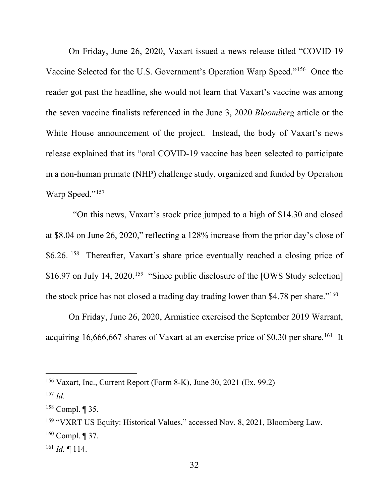On Friday, June 26, 2020, Vaxart issued a news release titled "COVID-19 Vaccine Selected for the U.S. Government's Operation Warp Speed."156 Once the reader got past the headline, she would not learn that Vaxart's vaccine was among the seven vaccine finalists referenced in the June 3, 2020 *Bloomberg* article or the White House announcement of the project. Instead, the body of Vaxart's news release explained that its "oral COVID-19 vaccine has been selected to participate in a non-human primate (NHP) challenge study, organized and funded by Operation Warp Speed."<sup>157</sup>

 "On this news, Vaxart's stock price jumped to a high of \$14.30 and closed at \$8.04 on June 26, 2020," reflecting a 128% increase from the prior day's close of \$6.26. <sup>158</sup> Thereafter, Vaxart's share price eventually reached a closing price of \$16.97 on July 14, 2020.<sup>159</sup> "Since public disclosure of the [OWS Study selection] the stock price has not closed a trading day trading lower than \$4.78 per share."160

On Friday, June 26, 2020, Armistice exercised the September 2019 Warrant, acquiring  $16,666,667$  shares of Vaxart at an exercise price of \$0.30 per share.<sup>161</sup> It

<sup>&</sup>lt;sup>156</sup> Vaxart, Inc., Current Report (Form 8-K), June 30, 2021 (Ex. 99.2)

<sup>157</sup> *Id.*

 $158$  Compl.  $\P$  35.

<sup>&</sup>lt;sup>159</sup> "VXRT US Equity: Historical Values," accessed Nov. 8, 2021, Bloomberg Law.

 $160$  Compl. ¶ 37.

 $^{161}$  *Id.*  $\P$  114.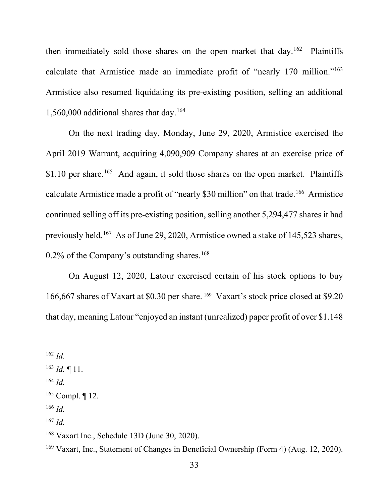then immediately sold those shares on the open market that day.<sup>162</sup> Plaintiffs calculate that Armistice made an immediate profit of "nearly 170 million."<sup>163</sup> Armistice also resumed liquidating its pre-existing position, selling an additional 1,560,000 additional shares that day.164

On the next trading day, Monday, June 29, 2020, Armistice exercised the April 2019 Warrant, acquiring 4,090,909 Company shares at an exercise price of \$1.10 per share.<sup>165</sup> And again, it sold those shares on the open market. Plaintiffs calculate Armistice made a profit of "nearly \$30 million" on that trade.<sup>166</sup> Armistice continued selling off its pre-existing position, selling another 5,294,477 shares it had previously held.<sup>167</sup> As of June 29, 2020, Armistice owned a stake of 145,523 shares,  $0.2\%$  of the Company's outstanding shares.<sup>168</sup>

On August 12, 2020, Latour exercised certain of his stock options to buy 166,667 shares of Vaxart at \$0.30 per share. <sup>169</sup> Vaxart's stock price closed at \$9.20 that day, meaning Latour "enjoyed an instant (unrealized) paper profit of over \$1.148

- <sup>166</sup> *Id.*
- <sup>167</sup> *Id.*

<sup>162</sup> *Id.*

<sup>163</sup> *Id.* ¶ 11.

<sup>164</sup> *Id.*

<sup>165</sup> Compl. ¶ 12.

<sup>168</sup> Vaxart Inc., Schedule 13D (June 30, 2020).

<sup>169</sup> Vaxart, Inc., Statement of Changes in Beneficial Ownership (Form 4) (Aug. 12, 2020).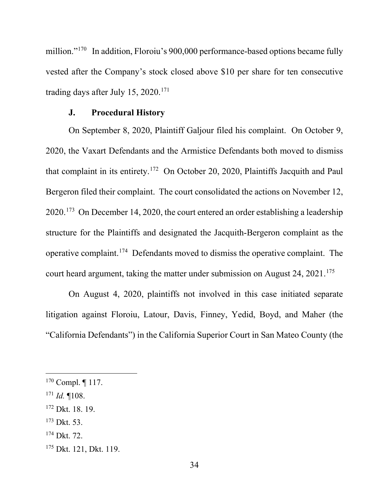million."<sup>170</sup> In addition, Floroiu's 900,000 performance-based options became fully vested after the Company's stock closed above \$10 per share for ten consecutive trading days after July 15, 2020.<sup>171</sup>

### **J. Procedural History**

On September 8, 2020, Plaintiff Galjour filed his complaint. On October 9, 2020, the Vaxart Defendants and the Armistice Defendants both moved to dismiss that complaint in its entirety.172 On October 20, 2020, Plaintiffs Jacquith and Paul Bergeron filed their complaint. The court consolidated the actions on November 12, 2020.<sup>173</sup> On December 14, 2020, the court entered an order establishing a leadership structure for the Plaintiffs and designated the Jacquith-Bergeron complaint as the operative complaint.<sup>174</sup> Defendants moved to dismiss the operative complaint. The court heard argument, taking the matter under submission on August 24, 2021. 175

On August 4, 2020, plaintiffs not involved in this case initiated separate litigation against Floroiu, Latour, Davis, Finney, Yedid, Boyd, and Maher (the "California Defendants") in the California Superior Court in San Mateo County (the

<sup>173</sup> Dkt. 53.

 $170$  Compl.  $\P$  117.

<sup>171</sup> *Id.* ¶108.

<sup>172</sup> Dkt. 18. 19.

<sup>174</sup> Dkt. 72.

<sup>&</sup>lt;sup>175</sup> Dkt. 121, Dkt. 119.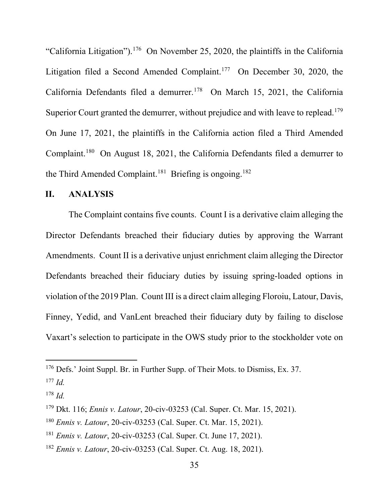"California Litigation").<sup>176</sup> On November 25, 2020, the plaintiffs in the California Litigation filed a Second Amended Complaint.<sup>177</sup> On December 30, 2020, the California Defendants filed a demurrer.<sup>178</sup> On March 15, 2021, the California Superior Court granted the demurrer, without prejudice and with leave to replead.<sup>179</sup> On June 17, 2021, the plaintiffs in the California action filed a Third Amended Complaint.180 On August 18, 2021, the California Defendants filed a demurrer to the Third Amended Complaint.<sup>181</sup> Briefing is ongoing.<sup>182</sup>

### **II. ANALYSIS**

The Complaint contains five counts. Count I is a derivative claim alleging the Director Defendants breached their fiduciary duties by approving the Warrant Amendments. Count II is a derivative unjust enrichment claim alleging the Director Defendants breached their fiduciary duties by issuing spring-loaded options in violation of the 2019 Plan. Count III is a direct claim alleging Floroiu, Latour, Davis, Finney, Yedid, and VanLent breached their fiduciary duty by failing to disclose Vaxart's selection to participate in the OWS study prior to the stockholder vote on

<sup>&</sup>lt;sup>176</sup> Defs.' Joint Suppl. Br. in Further Supp. of Their Mots. to Dismiss, Ex. 37.

<sup>177</sup> *Id.*

<sup>178</sup> *Id.*

<sup>179</sup> Dkt. 116; *Ennis v. Latour*, 20-civ-03253 (Cal. Super. Ct. Mar. 15, 2021).

<sup>180</sup> *Ennis v. Latour*, 20-civ-03253 (Cal. Super. Ct. Mar. 15, 2021).

<sup>181</sup> *Ennis v. Latour*, 20-civ-03253 (Cal. Super. Ct. June 17, 2021).

<sup>182</sup> *Ennis v. Latour*, 20-civ-03253 (Cal. Super. Ct. Aug. 18, 2021).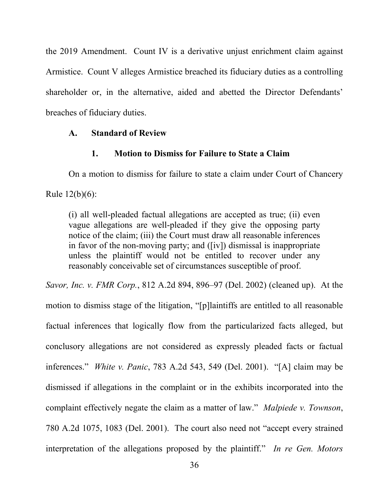the 2019 Amendment. Count IV is a derivative unjust enrichment claim against Armistice. Count V alleges Armistice breached its fiduciary duties as a controlling shareholder or, in the alternative, aided and abetted the Director Defendants' breaches of fiduciary duties.

### **A. Standard of Review**

## **1. Motion to Dismiss for Failure to State a Claim**

On a motion to dismiss for failure to state a claim under Court of Chancery Rule 12(b)(6):

(i) all well-pleaded factual allegations are accepted as true; (ii) even vague allegations are well-pleaded if they give the opposing party notice of the claim; (iii) the Court must draw all reasonable inferences in favor of the non-moving party; and ([iv]) dismissal is inappropriate unless the plaintiff would not be entitled to recover under any reasonably conceivable set of circumstances susceptible of proof.

*Savor, Inc. v. FMR Corp.*, 812 A.2d 894, 896–97 (Del. 2002) (cleaned up). At the motion to dismiss stage of the litigation, "[p]laintiffs are entitled to all reasonable factual inferences that logically flow from the particularized facts alleged, but conclusory allegations are not considered as expressly pleaded facts or factual inferences." *White v. Panic*, 783 A.2d 543, 549 (Del. 2001). "[A] claim may be dismissed if allegations in the complaint or in the exhibits incorporated into the complaint effectively negate the claim as a matter of law." *Malpiede v. Townson*, 780 A.2d 1075, 1083 (Del. 2001). The court also need not "accept every strained interpretation of the allegations proposed by the plaintiff." *In re Gen. Motors*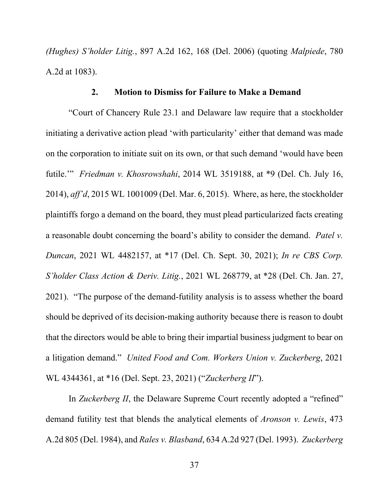*(Hughes) S'holder Litig.*, 897 A.2d 162, 168 (Del. 2006) (quoting *Malpiede*, 780 A.2d at 1083).

#### **2. Motion to Dismiss for Failure to Make a Demand**

"Court of Chancery Rule 23.1 and Delaware law require that a stockholder initiating a derivative action plead 'with particularity' either that demand was made on the corporation to initiate suit on its own, or that such demand 'would have been futile.'" *Friedman v. Khosrowshahi*, 2014 WL 3519188, at \*9 (Del. Ch. July 16, 2014), *aff'd*, 2015 WL 1001009 (Del. Mar. 6, 2015). Where, as here, the stockholder plaintiffs forgo a demand on the board, they must plead particularized facts creating a reasonable doubt concerning the board's ability to consider the demand. *Patel v. Duncan*, 2021 WL 4482157, at \*17 (Del. Ch. Sept. 30, 2021); *In re CBS Corp. S'holder Class Action & Deriv. Litig.*, 2021 WL 268779, at \*28 (Del. Ch. Jan. 27, 2021). "The purpose of the demand-futility analysis is to assess whether the board should be deprived of its decision-making authority because there is reason to doubt that the directors would be able to bring their impartial business judgment to bear on a litigation demand." *United Food and Com. Workers Union v. Zuckerberg*, 2021 WL 4344361, at \*16 (Del. Sept. 23, 2021) ("*Zuckerberg II*").

In *Zuckerberg II*, the Delaware Supreme Court recently adopted a "refined" demand futility test that blends the analytical elements of *Aronson v. Lewis*, 473 A.2d 805 (Del. 1984), and *Rales v. Blasband*, 634 A.2d 927 (Del. 1993). *Zuckerberg*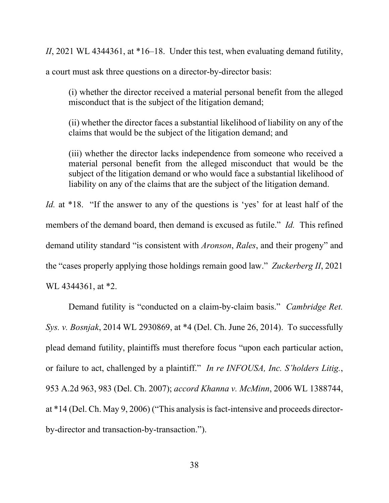*II*, 2021 WL 4344361, at \*16–18. Under this test, when evaluating demand futility,

a court must ask three questions on a director-by-director basis:

(i) whether the director received a material personal benefit from the alleged misconduct that is the subject of the litigation demand;

(ii) whether the director faces a substantial likelihood of liability on any of the claims that would be the subject of the litigation demand; and

(iii) whether the director lacks independence from someone who received a material personal benefit from the alleged misconduct that would be the subject of the litigation demand or who would face a substantial likelihood of liability on any of the claims that are the subject of the litigation demand.

*Id.* at \*18. "If the answer to any of the questions is 'yes' for at least half of the members of the demand board, then demand is excused as futile." *Id.* This refined demand utility standard "is consistent with *Aronson*, *Rales*, and their progeny" and the "cases properly applying those holdings remain good law." *Zuckerberg II*, 2021 WL 4344361, at \*2.

Demand futility is "conducted on a claim-by-claim basis." *Cambridge Ret. Sys. v. Bosnjak*, 2014 WL 2930869, at \*4 (Del. Ch. June 26, 2014). To successfully plead demand futility, plaintiffs must therefore focus "upon each particular action, or failure to act, challenged by a plaintiff." *In re INFOUSA, Inc. S'holders Litig.*, 953 A.2d 963, 983 (Del. Ch. 2007); *accord Khanna v. McMinn*, 2006 WL 1388744, at \*14 (Del. Ch. May 9, 2006) ("This analysis is fact-intensive and proceeds directorby-director and transaction-by-transaction.").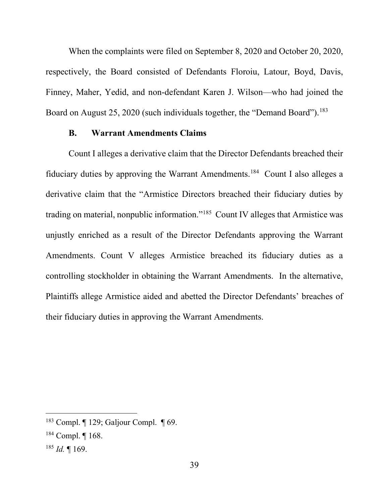When the complaints were filed on September 8, 2020 and October 20, 2020, respectively, the Board consisted of Defendants Floroiu, Latour, Boyd, Davis, Finney, Maher, Yedid, and non-defendant Karen J. Wilson—who had joined the Board on August 25, 2020 (such individuals together, the "Demand Board").<sup>183</sup>

#### **B. Warrant Amendments Claims**

Count I alleges a derivative claim that the Director Defendants breached their fiduciary duties by approving the Warrant Amendments.184 Count I also alleges a derivative claim that the "Armistice Directors breached their fiduciary duties by trading on material, nonpublic information."185 Count IV alleges that Armistice was unjustly enriched as a result of the Director Defendants approving the Warrant Amendments. Count V alleges Armistice breached its fiduciary duties as a controlling stockholder in obtaining the Warrant Amendments. In the alternative, Plaintiffs allege Armistice aided and abetted the Director Defendants' breaches of their fiduciary duties in approving the Warrant Amendments.

<sup>183</sup> Compl. ¶ 129; Galjour Compl. ¶ 69.

<sup>184</sup> Compl. ¶ 168.

<sup>185</sup> *Id.* ¶ 169.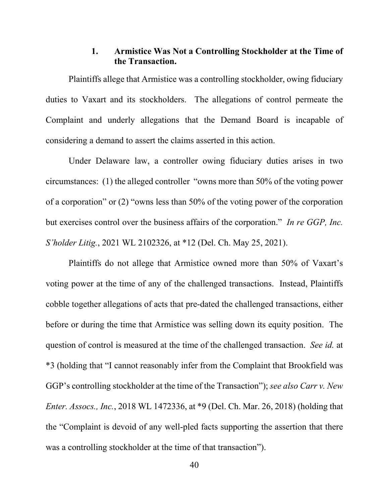## **1. Armistice Was Not a Controlling Stockholder at the Time of the Transaction.**

Plaintiffs allege that Armistice was a controlling stockholder, owing fiduciary duties to Vaxart and its stockholders. The allegations of control permeate the Complaint and underly allegations that the Demand Board is incapable of considering a demand to assert the claims asserted in this action.

Under Delaware law, a controller owing fiduciary duties arises in two circumstances: (1) the alleged controller "owns more than 50% of the voting power of a corporation" or (2) "owns less than 50% of the voting power of the corporation but exercises control over the business affairs of the corporation." *In re GGP, Inc. S'holder Litig.*, 2021 WL 2102326, at \*12 (Del. Ch. May 25, 2021).

Plaintiffs do not allege that Armistice owned more than 50% of Vaxart's voting power at the time of any of the challenged transactions. Instead, Plaintiffs cobble together allegations of acts that pre-dated the challenged transactions, either before or during the time that Armistice was selling down its equity position. The question of control is measured at the time of the challenged transaction. *See id.* at \*3 (holding that "I cannot reasonably infer from the Complaint that Brookfield was GGP's controlling stockholder at the time of the Transaction"); *see also Carr v. New Enter. Assocs., Inc.*, 2018 WL 1472336, at \*9 (Del. Ch. Mar. 26, 2018) (holding that the "Complaint is devoid of any well-pled facts supporting the assertion that there was a controlling stockholder at the time of that transaction").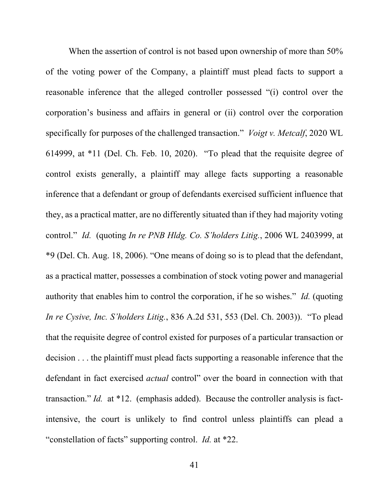When the assertion of control is not based upon ownership of more than 50% of the voting power of the Company, a plaintiff must plead facts to support a reasonable inference that the alleged controller possessed "(i) control over the corporation's business and affairs in general or (ii) control over the corporation specifically for purposes of the challenged transaction." *Voigt v. Metcalf*, 2020 WL 614999, at \*11 (Del. Ch. Feb. 10, 2020). "To plead that the requisite degree of control exists generally, a plaintiff may allege facts supporting a reasonable inference that a defendant or group of defendants exercised sufficient influence that they, as a practical matter, are no differently situated than if they had majority voting control." *Id.* (quoting *In re PNB Hldg. Co. S'holders Litig.*, 2006 WL 2403999, at \*9 (Del. Ch. Aug. 18, 2006). "One means of doing so is to plead that the defendant, as a practical matter, possesses a combination of stock voting power and managerial authority that enables him to control the corporation, if he so wishes." *Id.* (quoting *In re Cysive, Inc. S'holders Litig.*, 836 A.2d 531, 553 (Del. Ch. 2003)). "To plead that the requisite degree of control existed for purposes of a particular transaction or decision . . . the plaintiff must plead facts supporting a reasonable inference that the defendant in fact exercised *actual* control" over the board in connection with that transaction." *Id.* at \*12. (emphasis added). Because the controller analysis is factintensive, the court is unlikely to find control unless plaintiffs can plead a "constellation of facts" supporting control. *Id.* at \*22.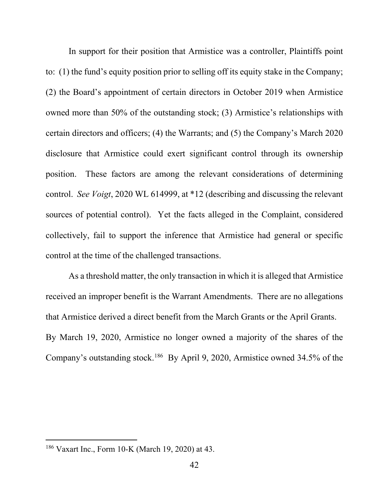In support for their position that Armistice was a controller, Plaintiffs point to: (1) the fund's equity position prior to selling off its equity stake in the Company; (2) the Board's appointment of certain directors in October 2019 when Armistice owned more than 50% of the outstanding stock; (3) Armistice's relationships with certain directors and officers; (4) the Warrants; and (5) the Company's March 2020 disclosure that Armistice could exert significant control through its ownership position. These factors are among the relevant considerations of determining control. *See Voigt*, 2020 WL 614999, at \*12 (describing and discussing the relevant sources of potential control). Yet the facts alleged in the Complaint, considered collectively, fail to support the inference that Armistice had general or specific control at the time of the challenged transactions.

As a threshold matter, the only transaction in which it is alleged that Armistice received an improper benefit is the Warrant Amendments. There are no allegations that Armistice derived a direct benefit from the March Grants or the April Grants. By March 19, 2020, Armistice no longer owned a majority of the shares of the Company's outstanding stock.<sup>186</sup> By April 9, 2020, Armistice owned 34.5% of the

<sup>186</sup> Vaxart Inc., Form 10-K (March 19, 2020) at 43.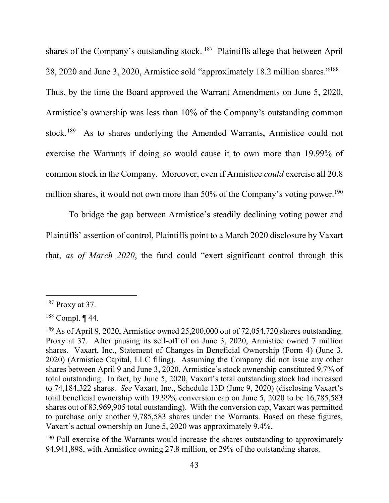shares of the Company's outstanding stock. <sup>187</sup> Plaintiffs allege that between April 28, 2020 and June 3, 2020, Armistice sold "approximately 18.2 million shares."188 Thus, by the time the Board approved the Warrant Amendments on June 5, 2020, Armistice's ownership was less than 10% of the Company's outstanding common stock.189 As to shares underlying the Amended Warrants, Armistice could not exercise the Warrants if doing so would cause it to own more than 19.99% of common stock in the Company. Moreover, even if Armistice *could* exercise all 20.8 million shares, it would not own more than  $50\%$  of the Company's voting power.<sup>190</sup>

To bridge the gap between Armistice's steadily declining voting power and Plaintiffs' assertion of control, Plaintiffs point to a March 2020 disclosure by Vaxart that, *as of March 2020*, the fund could "exert significant control through this

 $190$  Full exercise of the Warrants would increase the shares outstanding to approximately 94,941,898, with Armistice owning 27.8 million, or 29% of the outstanding shares.

 $187$  Proxy at 37.

 $188$  Compl.  $\P$  44.

<sup>&</sup>lt;sup>189</sup> As of April 9, 2020, Armistice owned 25,200,000 out of 72,054,720 shares outstanding. Proxy at 37. After pausing its sell-off of on June 3, 2020, Armistice owned 7 million shares. Vaxart, Inc., Statement of Changes in Beneficial Ownership (Form 4) (June 3, 2020) (Armistice Capital, LLC filing). Assuming the Company did not issue any other shares between April 9 and June 3, 2020, Armistice's stock ownership constituted 9.7% of total outstanding. In fact, by June 5, 2020, Vaxart's total outstanding stock had increased to 74,184,322 shares. *See* Vaxart, Inc., Schedule 13D (June 9, 2020) (disclosing Vaxart's total beneficial ownership with 19.99% conversion cap on June 5, 2020 to be 16,785,583 shares out of 83,969,905 total outstanding). With the conversion cap, Vaxart was permitted to purchase only another 9,785,583 shares under the Warrants. Based on these figures, Vaxart's actual ownership on June 5, 2020 was approximately 9.4%.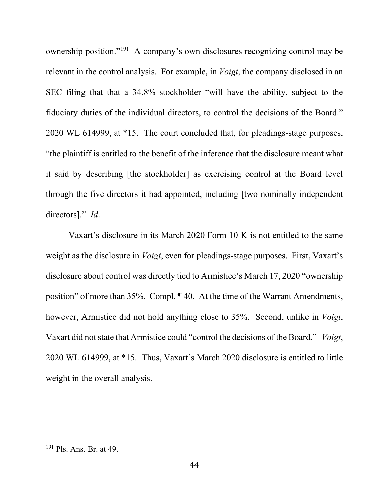ownership position."191 A company's own disclosures recognizing control may be relevant in the control analysis. For example, in *Voigt*, the company disclosed in an SEC filing that that a 34.8% stockholder "will have the ability, subject to the fiduciary duties of the individual directors, to control the decisions of the Board." 2020 WL 614999, at \*15. The court concluded that, for pleadings-stage purposes, "the plaintiff is entitled to the benefit of the inference that the disclosure meant what it said by describing [the stockholder] as exercising control at the Board level through the five directors it had appointed, including [two nominally independent directors]." *Id*.

Vaxart's disclosure in its March 2020 Form 10-K is not entitled to the same weight as the disclosure in *Voigt*, even for pleadings-stage purposes. First, Vaxart's disclosure about control was directly tied to Armistice's March 17, 2020 "ownership position" of more than 35%. Compl. ¶ 40. At the time of the Warrant Amendments, however, Armistice did not hold anything close to 35%. Second, unlike in *Voigt*, Vaxart did not state that Armistice could "control the decisions of the Board." *Voigt*, 2020 WL 614999, at \*15. Thus, Vaxart's March 2020 disclosure is entitled to little weight in the overall analysis.

<sup>191</sup> Pls. Ans. Br. at 49.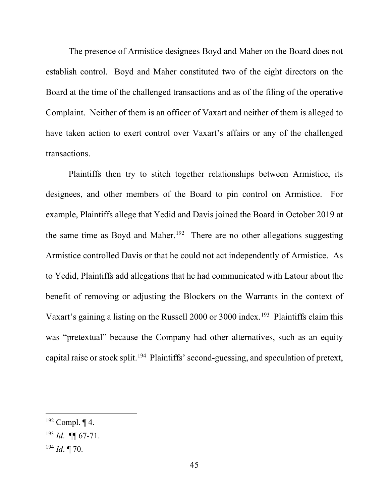The presence of Armistice designees Boyd and Maher on the Board does not establish control. Boyd and Maher constituted two of the eight directors on the Board at the time of the challenged transactions and as of the filing of the operative Complaint. Neither of them is an officer of Vaxart and neither of them is alleged to have taken action to exert control over Vaxart's affairs or any of the challenged transactions.

Plaintiffs then try to stitch together relationships between Armistice, its designees, and other members of the Board to pin control on Armistice. For example, Plaintiffs allege that Yedid and Davis joined the Board in October 2019 at the same time as Boyd and Maher.<sup>192</sup> There are no other allegations suggesting Armistice controlled Davis or that he could not act independently of Armistice. As to Yedid, Plaintiffs add allegations that he had communicated with Latour about the benefit of removing or adjusting the Blockers on the Warrants in the context of Vaxart's gaining a listing on the Russell 2000 or 3000 index.<sup>193</sup> Plaintiffs claim this was "pretextual" because the Company had other alternatives, such as an equity capital raise or stock split.194 Plaintiffs' second-guessing, and speculation of pretext,

<sup>194</sup> *Id*. ¶ 70.

 $192$  Compl.  $\P$  4.

<sup>193</sup> *Id*. ¶¶ 67-71.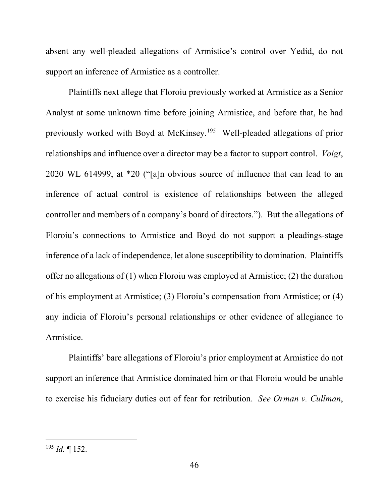absent any well-pleaded allegations of Armistice's control over Yedid, do not support an inference of Armistice as a controller.

Plaintiffs next allege that Floroiu previously worked at Armistice as a Senior Analyst at some unknown time before joining Armistice, and before that, he had previously worked with Boyd at McKinsey.195 Well-pleaded allegations of prior relationships and influence over a director may be a factor to support control. *Voigt*, 2020 WL 614999, at \*20 ("[a]n obvious source of influence that can lead to an inference of actual control is existence of relationships between the alleged controller and members of a company's board of directors."). But the allegations of Floroiu's connections to Armistice and Boyd do not support a pleadings-stage inference of a lack of independence, let alone susceptibility to domination. Plaintiffs offer no allegations of (1) when Floroiu was employed at Armistice; (2) the duration of his employment at Armistice; (3) Floroiu's compensation from Armistice; or (4) any indicia of Floroiu's personal relationships or other evidence of allegiance to Armistice.

Plaintiffs' bare allegations of Floroiu's prior employment at Armistice do not support an inference that Armistice dominated him or that Floroiu would be unable to exercise his fiduciary duties out of fear for retribution. *See Orman v. Cullman*,

<sup>195</sup> *Id.* ¶ 152.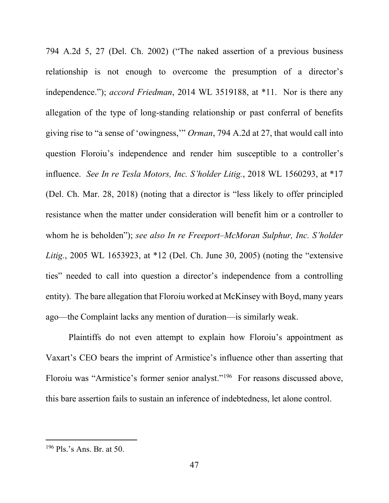794 A.2d 5, 27 (Del. Ch. 2002) ("The naked assertion of a previous business relationship is not enough to overcome the presumption of a director's independence."); *accord Friedman*, 2014 WL 3519188, at \*11. Nor is there any allegation of the type of long-standing relationship or past conferral of benefits giving rise to "a sense of 'owingness,'" *Orman*, 794 A.2d at 27, that would call into question Floroiu's independence and render him susceptible to a controller's influence. *See In re Tesla Motors, Inc. S'holder Litig.*, 2018 WL 1560293, at \*17 (Del. Ch. Mar. 28, 2018) (noting that a director is "less likely to offer principled resistance when the matter under consideration will benefit him or a controller to whom he is beholden"); *see also In re Freeport–McMoran Sulphur, Inc. S'holder Litig.*, 2005 WL 1653923, at \*12 (Del. Ch. June 30, 2005) (noting the "extensive ties" needed to call into question a director's independence from a controlling entity). The bare allegation that Floroiu worked at McKinsey with Boyd, many years ago—the Complaint lacks any mention of duration—is similarly weak.

Plaintiffs do not even attempt to explain how Floroiu's appointment as Vaxart's CEO bears the imprint of Armistice's influence other than asserting that Floroiu was "Armistice's former senior analyst."196 For reasons discussed above, this bare assertion fails to sustain an inference of indebtedness, let alone control.

<sup>196</sup> Pls.'s Ans. Br. at 50.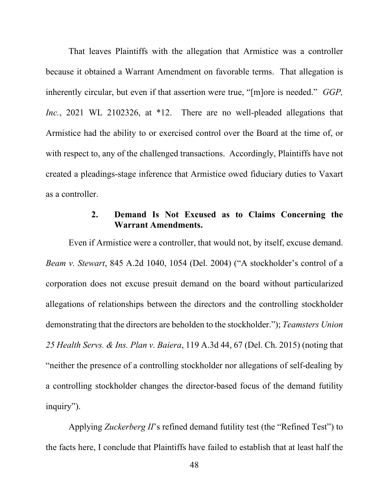That leaves Plaintiffs with the allegation that Armistice was a controller because it obtained a Warrant Amendment on favorable terms. That allegation is inherently circular, but even if that assertion were true, "[m]ore is needed." *GGP, Inc.*, 2021 WL 2102326, at \*12. There are no well-pleaded allegations that Armistice had the ability to or exercised control over the Board at the time of, or with respect to, any of the challenged transactions. Accordingly, Plaintiffs have not created a pleadings-stage inference that Armistice owed fiduciary duties to Vaxart as a controller.

# **2. Demand Is Not Excused as to Claims Concerning the Warrant Amendments.**

Even if Armistice were a controller, that would not, by itself, excuse demand. *Beam v. Stewart*, 845 A.2d 1040, 1054 (Del. 2004) ("A stockholder's control of a corporation does not excuse presuit demand on the board without particularized allegations of relationships between the directors and the controlling stockholder demonstrating that the directors are beholden to the stockholder."); *Teamsters Union 25 Health Servs. & Ins. Plan v. Baiera*, 119 A.3d 44, 67 (Del. Ch. 2015) (noting that "neither the presence of a controlling stockholder nor allegations of self-dealing by a controlling stockholder changes the director-based focus of the demand futility inquiry").

Applying *Zuckerberg II*'s refined demand futility test (the "Refined Test") to the facts here, I conclude that Plaintiffs have failed to establish that at least half the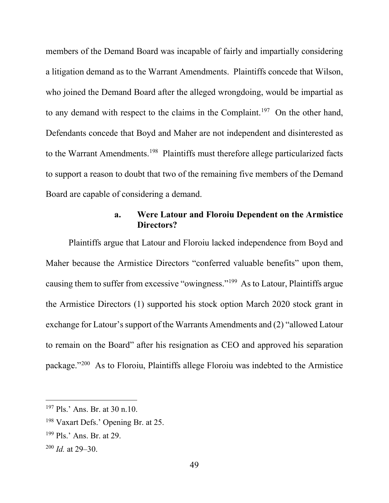members of the Demand Board was incapable of fairly and impartially considering a litigation demand as to the Warrant Amendments. Plaintiffs concede that Wilson, who joined the Demand Board after the alleged wrongdoing, would be impartial as to any demand with respect to the claims in the Complaint.<sup>197</sup> On the other hand, Defendants concede that Boyd and Maher are not independent and disinterested as to the Warrant Amendments.<sup>198</sup> Plaintiffs must therefore allege particularized facts to support a reason to doubt that two of the remaining five members of the Demand Board are capable of considering a demand.

# **a. Were Latour and Floroiu Dependent on the Armistice Directors?**

Plaintiffs argue that Latour and Floroiu lacked independence from Boyd and Maher because the Armistice Directors "conferred valuable benefits" upon them, causing them to suffer from excessive "owingness."199 As to Latour, Plaintiffs argue the Armistice Directors (1) supported his stock option March 2020 stock grant in exchange for Latour's support of the Warrants Amendments and (2) "allowed Latour to remain on the Board" after his resignation as CEO and approved his separation package."200 As to Floroiu, Plaintiffs allege Floroiu was indebted to the Armistice

<sup>197</sup> Pls.' Ans. Br. at 30 n.10.

<sup>198</sup> Vaxart Defs.' Opening Br. at 25.

<sup>199</sup> Pls.' Ans. Br. at 29.

<sup>200</sup> *Id.* at 29–30.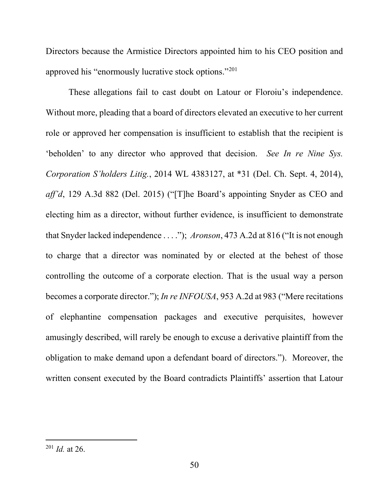Directors because the Armistice Directors appointed him to his CEO position and approved his "enormously lucrative stock options."201

These allegations fail to cast doubt on Latour or Floroiu's independence. Without more, pleading that a board of directors elevated an executive to her current role or approved her compensation is insufficient to establish that the recipient is 'beholden' to any director who approved that decision. *See In re Nine Sys. Corporation S'holders Litig.*, 2014 WL 4383127, at \*31 (Del. Ch. Sept. 4, 2014), *aff'd*, 129 A.3d 882 (Del. 2015) ("[T]he Board's appointing Snyder as CEO and electing him as a director, without further evidence, is insufficient to demonstrate that Snyder lacked independence . . . ."); *Aronson*, 473 A.2d at 816 ("It is not enough to charge that a director was nominated by or elected at the behest of those controlling the outcome of a corporate election. That is the usual way a person becomes a corporate director."); *In re INFOUSA*, 953 A.2d at 983 ("Mere recitations of elephantine compensation packages and executive perquisites, however amusingly described, will rarely be enough to excuse a derivative plaintiff from the obligation to make demand upon a defendant board of directors."). Moreover, the written consent executed by the Board contradicts Plaintiffs' assertion that Latour

<sup>201</sup> *Id.* at 26.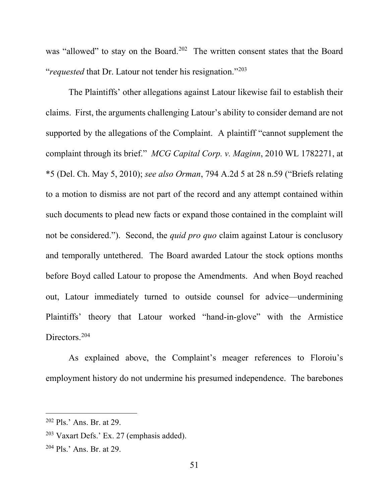was "allowed" to stay on the Board.<sup>202</sup> The written consent states that the Board "*requested* that Dr. Latour not tender his resignation."203

The Plaintiffs' other allegations against Latour likewise fail to establish their claims. First, the arguments challenging Latour's ability to consider demand are not supported by the allegations of the Complaint. A plaintiff "cannot supplement the complaint through its brief." *MCG Capital Corp. v. Maginn*, 2010 WL 1782271, at \*5 (Del. Ch. May 5, 2010); *see also Orman*, 794 A.2d 5 at 28 n.59 ("Briefs relating to a motion to dismiss are not part of the record and any attempt contained within such documents to plead new facts or expand those contained in the complaint will not be considered."). Second, the *quid pro quo* claim against Latour is conclusory and temporally untethered. The Board awarded Latour the stock options months before Boyd called Latour to propose the Amendments. And when Boyd reached out, Latour immediately turned to outside counsel for advice—undermining Plaintiffs' theory that Latour worked "hand-in-glove" with the Armistice Directors.<sup>204</sup>

As explained above, the Complaint's meager references to Floroiu's employment history do not undermine his presumed independence. The barebones

<sup>202</sup> Pls.' Ans. Br. at 29.

<sup>203</sup> Vaxart Defs.' Ex. 27 (emphasis added).

 $204$  Pls.' Ans. Br. at 29.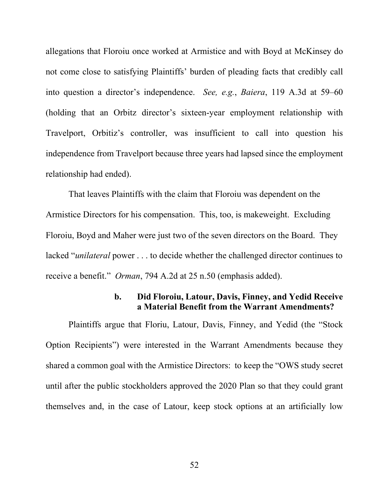allegations that Floroiu once worked at Armistice and with Boyd at McKinsey do not come close to satisfying Plaintiffs' burden of pleading facts that credibly call into question a director's independence. *See, e.g.*, *Baiera*, 119 A.3d at 59–60 (holding that an Orbitz director's sixteen-year employment relationship with Travelport, Orbitiz's controller, was insufficient to call into question his independence from Travelport because three years had lapsed since the employment relationship had ended).

That leaves Plaintiffs with the claim that Floroiu was dependent on the Armistice Directors for his compensation. This, too, is makeweight. Excluding Floroiu, Boyd and Maher were just two of the seven directors on the Board. They lacked "*unilateral* power . . . to decide whether the challenged director continues to receive a benefit." *Orman*, 794 A.2d at 25 n.50 (emphasis added).

## **b. Did Floroiu, Latour, Davis, Finney, and Yedid Receive a Material Benefit from the Warrant Amendments?**

Plaintiffs argue that Floriu, Latour, Davis, Finney, and Yedid (the "Stock Option Recipients") were interested in the Warrant Amendments because they shared a common goal with the Armistice Directors: to keep the "OWS study secret until after the public stockholders approved the 2020 Plan so that they could grant themselves and, in the case of Latour, keep stock options at an artificially low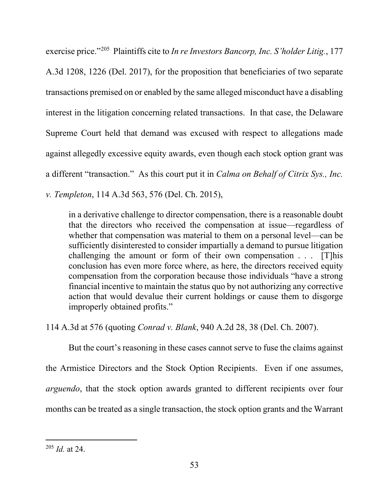exercise price."205 Plaintiffs cite to *In re Investors Bancorp, Inc. S'holder Litig.*, 177

A.3d 1208, 1226 (Del. 2017), for the proposition that beneficiaries of two separate transactions premised on or enabled by the same alleged misconduct have a disabling interest in the litigation concerning related transactions. In that case, the Delaware Supreme Court held that demand was excused with respect to allegations made against allegedly excessive equity awards, even though each stock option grant was a different "transaction." As this court put it in *Calma on Behalf of Citrix Sys., Inc. v. Templeton*, 114 A.3d 563, 576 (Del. Ch. 2015),

in a derivative challenge to director compensation, there is a reasonable doubt that the directors who received the compensation at issue—regardless of whether that compensation was material to them on a personal level—can be sufficiently disinterested to consider impartially a demand to pursue litigation challenging the amount or form of their own compensation . . . [T]his conclusion has even more force where, as here, the directors received equity compensation from the corporation because those individuals "have a strong financial incentive to maintain the status quo by not authorizing any corrective action that would devalue their current holdings or cause them to disgorge improperly obtained profits."

114 A.3d at 576 (quoting *Conrad v. Blank*, 940 A.2d 28, 38 (Del. Ch. 2007).

But the court's reasoning in these cases cannot serve to fuse the claims against the Armistice Directors and the Stock Option Recipients. Even if one assumes, *arguendo*, that the stock option awards granted to different recipients over four months can be treated as a single transaction, the stock option grants and the Warrant

<sup>205</sup> *Id.* at 24.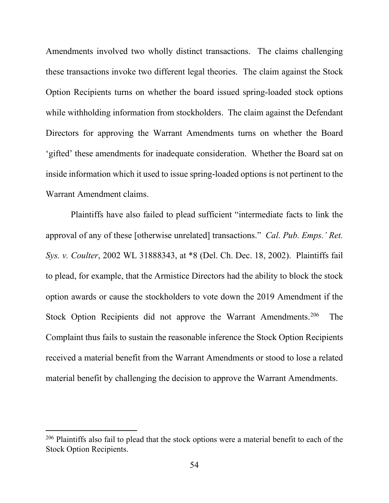Amendments involved two wholly distinct transactions. The claims challenging these transactions invoke two different legal theories. The claim against the Stock Option Recipients turns on whether the board issued spring-loaded stock options while withholding information from stockholders. The claim against the Defendant Directors for approving the Warrant Amendments turns on whether the Board 'gifted' these amendments for inadequate consideration. Whether the Board sat on inside information which it used to issue spring-loaded options is not pertinent to the Warrant Amendment claims.

Plaintiffs have also failed to plead sufficient "intermediate facts to link the approval of any of these [otherwise unrelated] transactions." *Cal. Pub. Emps.' Ret. Sys. v. Coulter*, 2002 WL 31888343, at \*8 (Del. Ch. Dec. 18, 2002). Plaintiffs fail to plead, for example, that the Armistice Directors had the ability to block the stock option awards or cause the stockholders to vote down the 2019 Amendment if the Stock Option Recipients did not approve the Warrant Amendments.<sup>206</sup> The Complaint thus fails to sustain the reasonable inference the Stock Option Recipients received a material benefit from the Warrant Amendments or stood to lose a related material benefit by challenging the decision to approve the Warrant Amendments.

<sup>&</sup>lt;sup>206</sup> Plaintiffs also fail to plead that the stock options were a material benefit to each of the Stock Option Recipients.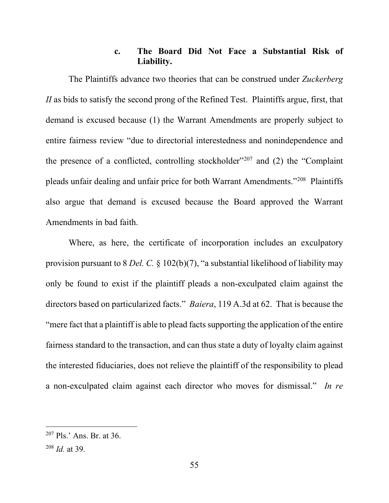## **c. The Board Did Not Face a Substantial Risk of Liability.**

The Plaintiffs advance two theories that can be construed under *Zuckerberg II* as bids to satisfy the second prong of the Refined Test. Plaintiffs argue, first, that demand is excused because (1) the Warrant Amendments are properly subject to entire fairness review "due to directorial interestedness and nonindependence and the presence of a conflicted, controlling stockholder"<sup>207</sup> and  $(2)$  the "Complaint" pleads unfair dealing and unfair price for both Warrant Amendments."208 Plaintiffs also argue that demand is excused because the Board approved the Warrant Amendments in bad faith.

Where, as here, the certificate of incorporation includes an exculpatory provision pursuant to 8 *Del. C.* § 102(b)(7), "a substantial likelihood of liability may only be found to exist if the plaintiff pleads a non-exculpated claim against the directors based on particularized facts." *Baiera*, 119 A.3d at 62. That is because the "mere fact that a plaintiff is able to plead facts supporting the application of the entire fairness standard to the transaction, and can thus state a duty of loyalty claim against the interested fiduciaries, does not relieve the plaintiff of the responsibility to plead a non-exculpated claim against each director who moves for dismissal." *In re* 

 $207$  Pls.' Ans. Br. at 36.

<sup>208</sup> *Id.* at 39.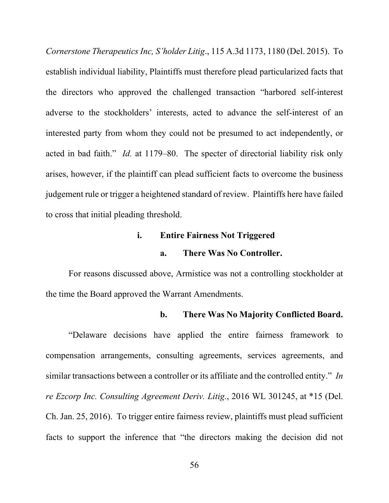*Cornerstone Therapeutics Inc, S'holder Litig*., 115 A.3d 1173, 1180 (Del. 2015). To establish individual liability, Plaintiffs must therefore plead particularized facts that the directors who approved the challenged transaction "harbored self-interest adverse to the stockholders' interests, acted to advance the self-interest of an interested party from whom they could not be presumed to act independently, or acted in bad faith." *Id.* at 1179–80. The specter of directorial liability risk only arises, however, if the plaintiff can plead sufficient facts to overcome the business judgement rule or trigger a heightened standard of review. Plaintiffs here have failed to cross that initial pleading threshold.

## **i. Entire Fairness Not Triggered**

#### **a. There Was No Controller.**

For reasons discussed above, Armistice was not a controlling stockholder at the time the Board approved the Warrant Amendments.

#### **b. There Was No Majority Conflicted Board.**

"Delaware decisions have applied the entire fairness framework to compensation arrangements, consulting agreements, services agreements, and similar transactions between a controller or its affiliate and the controlled entity." *In re Ezcorp Inc. Consulting Agreement Deriv. Litig.*, 2016 WL 301245, at \*15 (Del. Ch. Jan. 25, 2016). To trigger entire fairness review, plaintiffs must plead sufficient facts to support the inference that "the directors making the decision did not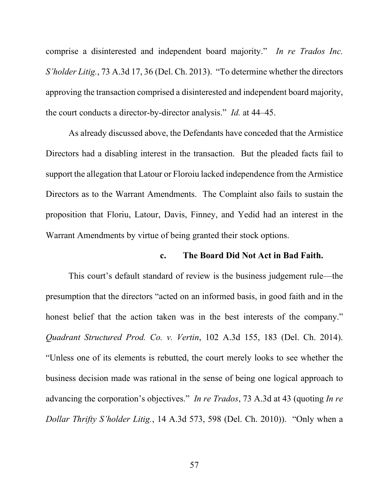comprise a disinterested and independent board majority." *In re Trados Inc. S'holder Litig.*, 73 A.3d 17, 36 (Del. Ch. 2013). "To determine whether the directors approving the transaction comprised a disinterested and independent board majority, the court conducts a director-by-director analysis." *Id.* at 44–45.

As already discussed above, the Defendants have conceded that the Armistice Directors had a disabling interest in the transaction. But the pleaded facts fail to support the allegation that Latour or Floroiu lacked independence from the Armistice Directors as to the Warrant Amendments. The Complaint also fails to sustain the proposition that Floriu, Latour, Davis, Finney, and Yedid had an interest in the Warrant Amendments by virtue of being granted their stock options.

#### **c. The Board Did Not Act in Bad Faith.**

This court's default standard of review is the business judgement rule—the presumption that the directors "acted on an informed basis, in good faith and in the honest belief that the action taken was in the best interests of the company." *Quadrant Structured Prod. Co. v. Vertin*, 102 A.3d 155, 183 (Del. Ch. 2014). "Unless one of its elements is rebutted, the court merely looks to see whether the business decision made was rational in the sense of being one logical approach to advancing the corporation's objectives." *In re Trados*, 73 A.3d at 43 (quoting *In re Dollar Thrifty S'holder Litig.*, 14 A.3d 573, 598 (Del. Ch. 2010)). "Only when a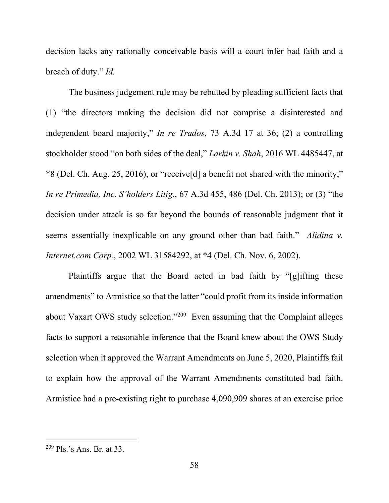decision lacks any rationally conceivable basis will a court infer bad faith and a breach of duty." *Id.*

The business judgement rule may be rebutted by pleading sufficient facts that (1) "the directors making the decision did not comprise a disinterested and independent board majority," *In re Trados*, 73 A.3d 17 at 36; (2) a controlling stockholder stood "on both sides of the deal," *Larkin v. Shah*, 2016 WL 4485447, at \*8 (Del. Ch. Aug. 25, 2016), or "receive[d] a benefit not shared with the minority," *In re Primedia, Inc. S'holders Litig.*, 67 A.3d 455, 486 (Del. Ch. 2013); or (3) "the decision under attack is so far beyond the bounds of reasonable judgment that it seems essentially inexplicable on any ground other than bad faith." *Alidina v. Internet.com Corp.*, 2002 WL 31584292, at \*4 (Del. Ch. Nov. 6, 2002).

Plaintiffs argue that the Board acted in bad faith by "[g]ifting these amendments" to Armistice so that the latter "could profit from its inside information about Vaxart OWS study selection."209 Even assuming that the Complaint alleges facts to support a reasonable inference that the Board knew about the OWS Study selection when it approved the Warrant Amendments on June 5, 2020, Plaintiffs fail to explain how the approval of the Warrant Amendments constituted bad faith. Armistice had a pre-existing right to purchase 4,090,909 shares at an exercise price

 $209$  Pls.'s Ans. Br. at 33.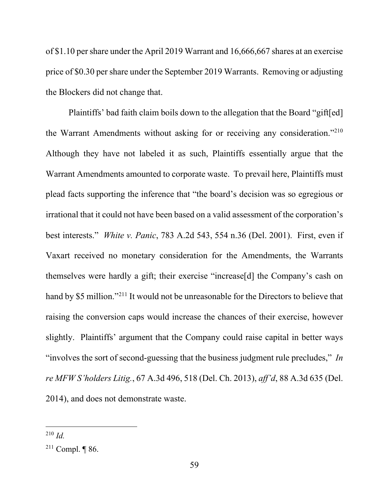of \$1.10 per share under the April 2019 Warrant and 16,666,667 shares at an exercise price of \$0.30 per share under the September 2019 Warrants. Removing or adjusting the Blockers did not change that.

Plaintiffs' bad faith claim boils down to the allegation that the Board "gift[ed] the Warrant Amendments without asking for or receiving any consideration."210 Although they have not labeled it as such, Plaintiffs essentially argue that the Warrant Amendments amounted to corporate waste. To prevail here, Plaintiffs must plead facts supporting the inference that "the board's decision was so egregious or irrational that it could not have been based on a valid assessment of the corporation's best interests." *White v. Panic*, 783 A.2d 543, 554 n.36 (Del. 2001). First, even if Vaxart received no monetary consideration for the Amendments, the Warrants themselves were hardly a gift; their exercise "increase[d] the Company's cash on hand by \$5 million."<sup>211</sup> It would not be unreasonable for the Directors to believe that raising the conversion caps would increase the chances of their exercise, however slightly. Plaintiffs' argument that the Company could raise capital in better ways "involves the sort of second-guessing that the business judgment rule precludes," *In re MFW S'holders Litig.*, 67 A.3d 496, 518 (Del. Ch. 2013), *aff'd*, 88 A.3d 635 (Del. 2014), and does not demonstrate waste.

<sup>210</sup> *Id.*

<sup>&</sup>lt;sup>211</sup> Compl. ¶ 86.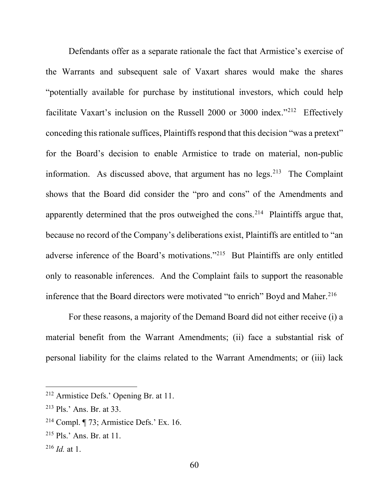Defendants offer as a separate rationale the fact that Armistice's exercise of the Warrants and subsequent sale of Vaxart shares would make the shares "potentially available for purchase by institutional investors, which could help facilitate Vaxart's inclusion on the Russell 2000 or 3000 index."212 Effectively conceding this rationale suffices, Plaintiffs respond that this decision "was a pretext" for the Board's decision to enable Armistice to trade on material, non-public information. As discussed above, that argument has no  $legs.^{213}$  The Complaint shows that the Board did consider the "pro and cons" of the Amendments and apparently determined that the pros outweighed the cons.<sup>214</sup> Plaintiffs argue that, because no record of the Company's deliberations exist, Plaintiffs are entitled to "an adverse inference of the Board's motivations."215 But Plaintiffs are only entitled only to reasonable inferences. And the Complaint fails to support the reasonable inference that the Board directors were motivated "to enrich" Boyd and Maher.<sup>216</sup>

For these reasons, a majority of the Demand Board did not either receive (i) a material benefit from the Warrant Amendments; (ii) face a substantial risk of personal liability for the claims related to the Warrant Amendments; or (iii) lack

<sup>212</sup> Armistice Defs.' Opening Br. at 11.

<sup>213</sup> Pls.' Ans. Br. at 33.

<sup>214</sup> Compl. ¶ 73; Armistice Defs.' Ex. 16.

<sup>215</sup> Pls.' Ans. Br. at 11.

 $^{216}$  *Id.* at 1.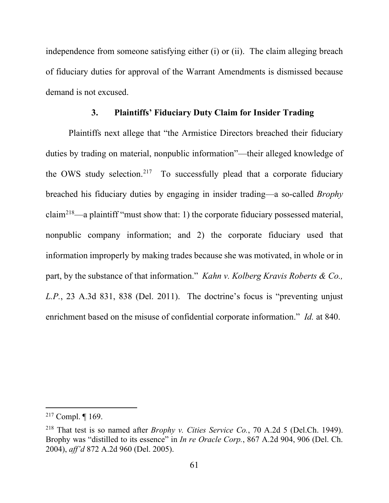independence from someone satisfying either (i) or (ii). The claim alleging breach of fiduciary duties for approval of the Warrant Amendments is dismissed because demand is not excused.

## **3. Plaintiffs' Fiduciary Duty Claim for Insider Trading**

Plaintiffs next allege that "the Armistice Directors breached their fiduciary duties by trading on material, nonpublic information"—their alleged knowledge of the OWS study selection.<sup>217</sup> To successfully plead that a corporate fiduciary breached his fiduciary duties by engaging in insider trading—a so-called *Brophy* claim218—a plaintiff "must show that: 1) the corporate fiduciary possessed material, nonpublic company information; and 2) the corporate fiduciary used that information improperly by making trades because she was motivated, in whole or in part, by the substance of that information." *Kahn v. Kolberg Kravis Roberts & Co., L.P.*, 23 A.3d 831, 838 (Del. 2011). The doctrine's focus is "preventing unjust enrichment based on the misuse of confidential corporate information." *Id.* at 840.

<sup>&</sup>lt;sup>217</sup> Compl.  $\P$  169.

<sup>218</sup> That test is so named after *Brophy v. Cities Service Co.*, 70 A.2d 5 (Del.Ch. 1949). Brophy was "distilled to its essence" in *In re Oracle Corp.*, 867 A.2d 904, 906 (Del. Ch. 2004), *aff'd* 872 A.2d 960 (Del. 2005).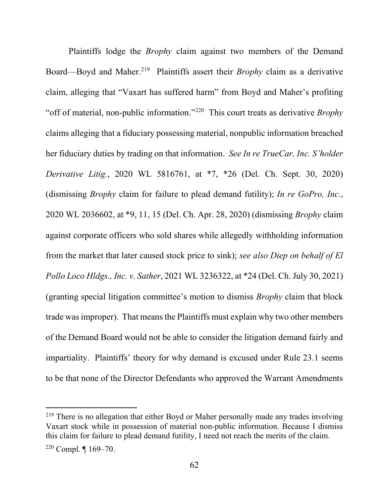Plaintiffs lodge the *Brophy* claim against two members of the Demand Board—Boyd and Maher.<sup>219</sup> Plaintiffs assert their *Brophy* claim as a derivative claim, alleging that "Vaxart has suffered harm" from Boyd and Maher's profiting "off of material, non-public information."220 This court treats as derivative *Brophy* claims alleging that a fiduciary possessing material, nonpublic information breached her fiduciary duties by trading on that information. *See In re TrueCar, Inc. S'holder Derivative Litig.*, 2020 WL 5816761, at \*7, \*26 (Del. Ch. Sept. 30, 2020) (dismissing *Brophy* claim for failure to plead demand futility); *In re GoPro, Inc.*, 2020 WL 2036602, at \*9, 11, 15 (Del. Ch. Apr. 28, 2020) (dismissing *Brophy* claim against corporate officers who sold shares while allegedly withholding information from the market that later caused stock price to sink); *see also Diep on behalf of El Pollo Loco Hldgs., Inc. v. Sather*, 2021 WL 3236322, at \*24 (Del. Ch. July 30, 2021) (granting special litigation committee's motion to dismiss *Brophy* claim that block trade wasimproper). That means the Plaintiffs must explain why two other members of the Demand Board would not be able to consider the litigation demand fairly and impartiality. Plaintiffs' theory for why demand is excused under Rule 23.1 seems to be that none of the Director Defendants who approved the Warrant Amendments

<sup>&</sup>lt;sup>219</sup> There is no allegation that either Boyd or Maher personally made any trades involving Vaxart stock while in possession of material non-public information. Because I dismiss this claim for failure to plead demand futility, I need not reach the merits of the claim.  $220$  Compl.  $\P$  169-70.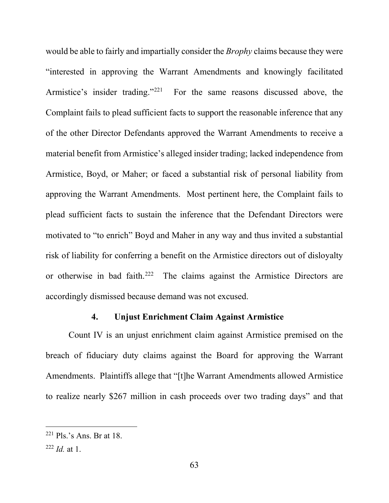would be able to fairly and impartially consider the *Brophy* claims because they were "interested in approving the Warrant Amendments and knowingly facilitated Armistice's insider trading."<sup>221</sup> For the same reasons discussed above, the Complaint fails to plead sufficient facts to support the reasonable inference that any of the other Director Defendants approved the Warrant Amendments to receive a material benefit from Armistice's alleged insider trading; lacked independence from Armistice, Boyd, or Maher; or faced a substantial risk of personal liability from approving the Warrant Amendments. Most pertinent here, the Complaint fails to plead sufficient facts to sustain the inference that the Defendant Directors were motivated to "to enrich" Boyd and Maher in any way and thus invited a substantial risk of liability for conferring a benefit on the Armistice directors out of disloyalty or otherwise in bad faith.222 The claims against the Armistice Directors are accordingly dismissed because demand was not excused.

## **4. Unjust Enrichment Claim Against Armistice**

Count IV is an unjust enrichment claim against Armistice premised on the breach of fiduciary duty claims against the Board for approving the Warrant Amendments. Plaintiffs allege that "[t]he Warrant Amendments allowed Armistice to realize nearly \$267 million in cash proceeds over two trading days" and that

 $221$  Pls.'s Ans. Br at 18.

 $^{222}$  *Id.* at 1.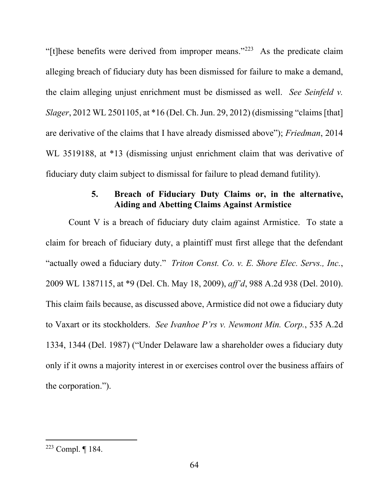"[t]hese benefits were derived from improper means."223 As the predicate claim alleging breach of fiduciary duty has been dismissed for failure to make a demand, the claim alleging unjust enrichment must be dismissed as well. *See Seinfeld v. Slager*, 2012 WL 2501105, at \*16 (Del. Ch. Jun. 29, 2012) (dismissing "claims [that] are derivative of the claims that I have already dismissed above"); *Friedman*, 2014 WL 3519188, at \*13 (dismissing unjust enrichment claim that was derivative of fiduciary duty claim subject to dismissal for failure to plead demand futility).

# **5. Breach of Fiduciary Duty Claims or, in the alternative, Aiding and Abetting Claims Against Armistice**

Count V is a breach of fiduciary duty claim against Armistice. To state a claim for breach of fiduciary duty, a plaintiff must first allege that the defendant "actually owed a fiduciary duty." *Triton Const. Co. v. E. Shore Elec. Servs., Inc.*, 2009 WL 1387115, at \*9 (Del. Ch. May 18, 2009), *aff'd*, 988 A.2d 938 (Del. 2010). This claim fails because, as discussed above, Armistice did not owe a fiduciary duty to Vaxart or its stockholders. *See Ivanhoe P'rs v. Newmont Min. Corp.*, 535 A.2d 1334, 1344 (Del. 1987) ("Under Delaware law a shareholder owes a fiduciary duty only if it owns a majority interest in or exercises control over the business affairs of the corporation.").

<sup>223</sup> Compl. ¶ 184.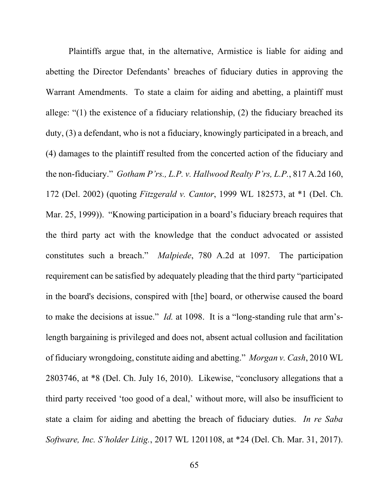Plaintiffs argue that, in the alternative, Armistice is liable for aiding and abetting the Director Defendants' breaches of fiduciary duties in approving the Warrant Amendments. To state a claim for aiding and abetting, a plaintiff must allege: "(1) the existence of a fiduciary relationship, (2) the fiduciary breached its duty, (3) a defendant, who is not a fiduciary, knowingly participated in a breach, and (4) damages to the plaintiff resulted from the concerted action of the fiduciary and the non-fiduciary." *Gotham P'rs., L.P. v. Hallwood Realty P'rs, L.P.*, 817 A.2d 160, 172 (Del. 2002) (quoting *Fitzgerald v. Cantor*, 1999 WL 182573, at \*1 (Del. Ch. Mar. 25, 1999)). "Knowing participation in a board's fiduciary breach requires that the third party act with the knowledge that the conduct advocated or assisted constitutes such a breach." *Malpiede*, 780 A.2d at 1097. The participation requirement can be satisfied by adequately pleading that the third party "participated in the board's decisions, conspired with [the] board, or otherwise caused the board to make the decisions at issue." *Id.* at 1098. It is a "long-standing rule that arm'slength bargaining is privileged and does not, absent actual collusion and facilitation of fiduciary wrongdoing, constitute aiding and abetting." *Morgan v. Cash*, 2010 WL 2803746, at \*8 (Del. Ch. July 16, 2010). Likewise, "conclusory allegations that a third party received 'too good of a deal,' without more, will also be insufficient to state a claim for aiding and abetting the breach of fiduciary duties. *In re Saba Software, Inc. S'holder Litig.*, 2017 WL 1201108, at \*24 (Del. Ch. Mar. 31, 2017).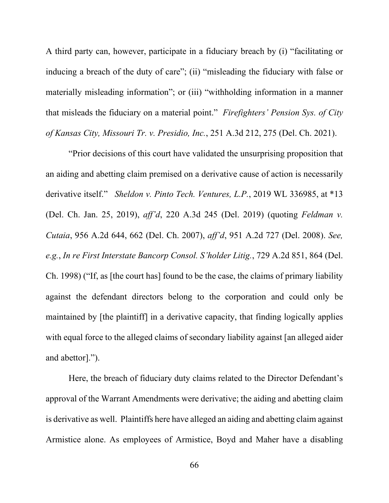A third party can, however, participate in a fiduciary breach by (i) "facilitating or inducing a breach of the duty of care"; (ii) "misleading the fiduciary with false or materially misleading information"; or (iii) "withholding information in a manner that misleads the fiduciary on a material point." *Firefighters' Pension Sys. of City of Kansas City, Missouri Tr. v. Presidio, Inc.*, 251 A.3d 212, 275 (Del. Ch. 2021).

"Prior decisions of this court have validated the unsurprising proposition that an aiding and abetting claim premised on a derivative cause of action is necessarily derivative itself." *Sheldon v. Pinto Tech. Ventures, L.P.*, 2019 WL 336985, at \*13 (Del. Ch. Jan. 25, 2019), *aff'd*, 220 A.3d 245 (Del. 2019) (quoting *Feldman v. Cutaia*, 956 A.2d 644, 662 (Del. Ch. 2007), *aff'd*, 951 A.2d 727 (Del. 2008). *See, e.g.*, *In re First Interstate Bancorp Consol. S'holder Litig.*, 729 A.2d 851, 864 (Del. Ch. 1998) ("If, as [the court has] found to be the case, the claims of primary liability against the defendant directors belong to the corporation and could only be maintained by [the plaintiff] in a derivative capacity, that finding logically applies with equal force to the alleged claims of secondary liability against [an alleged aider and abettor].").

Here, the breach of fiduciary duty claims related to the Director Defendant's approval of the Warrant Amendments were derivative; the aiding and abetting claim is derivative as well. Plaintiffs here have alleged an aiding and abetting claim against Armistice alone. As employees of Armistice, Boyd and Maher have a disabling